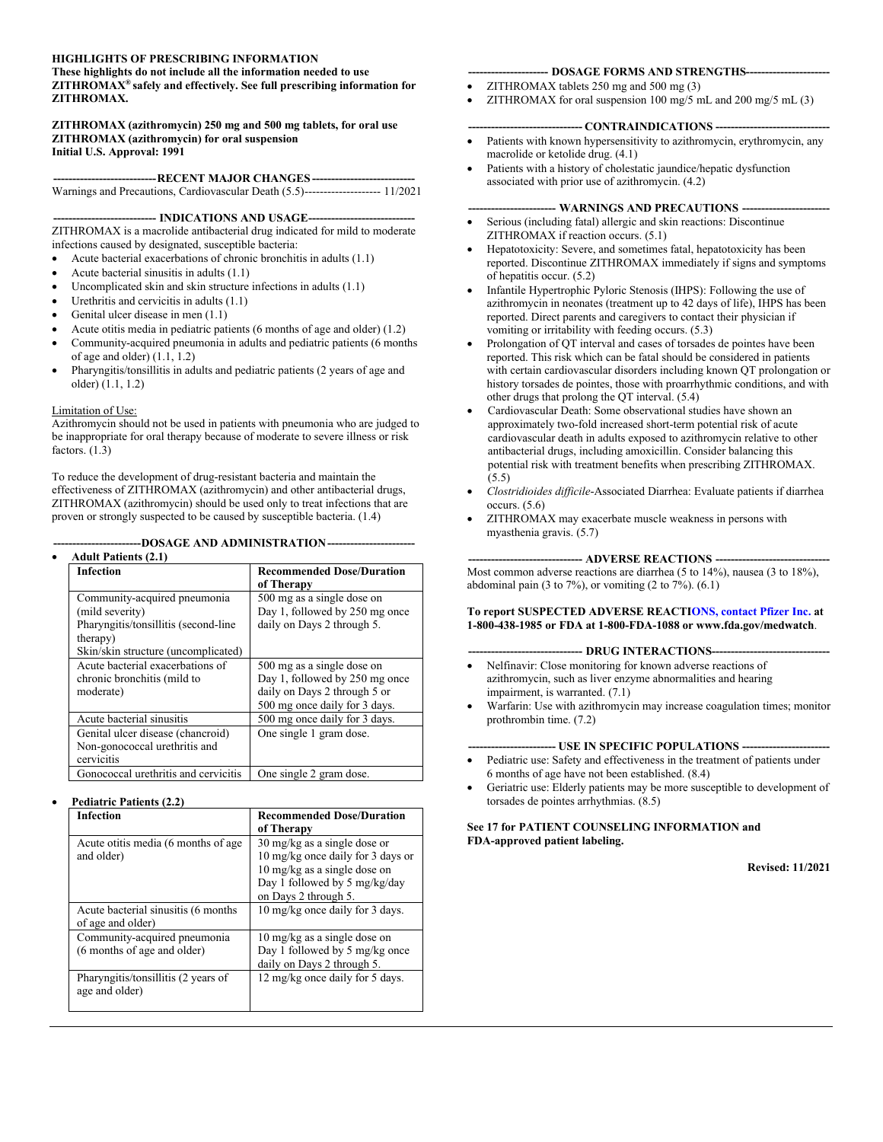#### **HIGHLIGHTS OF PRESCRIBING INFORMATION**

#### **These highlights do not include all the information needed to use ZITHROMAX® safely and effectively. See full prescribing information for ZITHROMAX.**

#### **ZITHROMAX (azithromycin) 250 mg and 500 mg tablets, for oral use ZITHROMAX (azithromycin) for oral suspension Initial U.S. Approval: 1991**

#### **---------------------------RECENT MAJOR CHANGES ---------------------------**

Warnings and Precautions, Cardiovascular Death (5.5)-------------------- 11/2021

--- **INDICATIONS AND USAGE----**

ZITHROMAX is a macrolide antibacterial drug indicated for mild to moderate infections caused by designated, susceptible bacteria:

- Acute bacterial exacerbations of chronic bronchitis in adults (1.1)
- Acute bacterial sinusitis in adults (1.1)
- Uncomplicated skin and skin structure infections in adults (1.1)
- Urethritis and cervicitis in adults (1.1)
- Genital ulcer disease in men (1.1)
- Acute otitis media in pediatric patients (6 months of age and older) (1.2)
- Community-acquired pneumonia in adults and pediatric patients (6 months of age and older) (1.1, 1.2)
- Pharyngitis/tonsillitis in adults and pediatric patients (2 years of age and older) (1.1, 1.2)

#### Limitation of Use:

Azithromycin should not be used in patients with pneumonia who are judged to be inappropriate for oral therapy because of moderate to severe illness or risk factors. (1.3)

To reduce the development of drug-resistant bacteria and maintain the effectiveness of ZITHROMAX (azithromycin) and other antibacterial drugs, ZITHROMAX (azithromycin) should be used only to treat infections that are proven or strongly suspected to be caused by susceptible bacteria. (1.4)

#### **-----------------------DOSAGE AND ADMINISTRATION-----------------------**

| <b>Infection</b>                                                                                                    | <b>Recommended Dose/Duration</b><br>of Therapy                                                                                |
|---------------------------------------------------------------------------------------------------------------------|-------------------------------------------------------------------------------------------------------------------------------|
| Community-acquired pneumonia<br>(mild severity)<br>Pharyngitis/tonsillitis (second-line<br>therapy)                 | 500 mg as a single dose on<br>Day 1, followed by 250 mg once<br>daily on Days 2 through 5.                                    |
| Skin/skin structure (uncomplicated)<br>Acute bacterial exacerbations of<br>chronic bronchitis (mild to<br>moderate) | 500 mg as a single dose on<br>Day 1, followed by 250 mg once<br>daily on Days 2 through 5 or<br>500 mg once daily for 3 days. |
| Acute bacterial sinusitis<br>Genital ulcer disease (chancroid)<br>Non-gonococcal urethritis and<br>cervicitis       | 500 mg once daily for 3 days.<br>One single 1 gram dose.                                                                      |
| Gonococcal urethritis and cervicitis                                                                                | One single 2 gram dose.                                                                                                       |

#### **Pediatric Patients (2.2)**

| <b>Infection</b>                     | <b>Recommended Dose/Duration</b>       |
|--------------------------------------|----------------------------------------|
|                                      | of Therapy                             |
| Acute otitis media (6 months of age  | 30 mg/kg as a single dose or           |
| and older)                           | 10 mg/kg once daily for 3 days or      |
|                                      | $10 \text{ mg/kg}$ as a single dose on |
|                                      | Day 1 followed by 5 mg/kg/day          |
|                                      | on Days 2 through 5.                   |
| Acute bacterial sinusitis (6 months) | 10 mg/kg once daily for 3 days.        |
| of age and older)                    |                                        |
| Community-acquired pneumonia         | 10 mg/kg as a single dose on           |
| (6 months of age and older)          | Day 1 followed by 5 mg/kg once         |
|                                      | daily on Days 2 through 5.             |
| Pharyngitis/tonsillitis (2 years of  | 12 mg/kg once daily for 5 days.        |
| age and older)                       |                                        |
|                                      |                                        |

#### **--------------------- DOSAGE FORMS AND STRENGTHS----------------------**

- ZITHROMAX tablets 250 mg and 500 mg (3)
- ZITHROMAX for oral suspension 100 mg/5 mL and 200 mg/5 mL (3)

#### **------------------------------ CONTRAINDICATIONS ------------------------------**

- Patients with known hypersensitivity to azithromycin, erythromycin, any macrolide or ketolide drug. (4.1)
- Patients with a history of cholestatic jaundice/hepatic dysfunction associated with prior use of azithromycin. (4.2)

#### **----------------------- WARNINGS AND PRECAUTIONS -----------------------**

- Serious (including fatal) allergic and skin reactions: Discontinue ZITHROMAX if reaction occurs. (5.1)
- Hepatotoxicity: Severe, and sometimes fatal, hepatotoxicity has been reported. Discontinue ZITHROMAX immediately if signs and symptoms of hepatitis occur. (5.2)
- Infantile Hypertrophic Pyloric Stenosis (IHPS): Following the use of azithromycin in neonates (treatment up to 42 days of life), IHPS has been reported. Direct parents and caregivers to contact their physician if vomiting or irritability with feeding occurs. (5.3)
- Prolongation of QT interval and cases of torsades de pointes have been reported. This risk which can be fatal should be considered in patients with certain cardiovascular disorders including known QT prolongation or history torsades de pointes, those with proarrhythmic conditions, and with other drugs that prolong the QT interval. (5.4)
- Cardiovascular Death: Some observational studies have shown an approximately two-fold increased short-term potential risk of acute cardiovascular death in adults exposed to azithromycin relative to other antibacterial drugs, including amoxicillin. Consider balancing this potential risk with treatment benefits when prescribing ZITHROMAX.  $(5.5)$
- *Clostridioides difficile*-Associated Diarrhea: Evaluate patients if diarrhea occurs. (5.6)
- ZITHROMAX may exacerbate muscle weakness in persons with myasthenia gravis. (5.7)

#### **------------------------------ ADVERSE REACTIONS ------------------------------**

Most common adverse reactions are diarrhea (5 to 14%), nausea (3 to 18%), abdominal pain (3 to  $7\%$ ), or vomiting (2 to  $7\%$ ). (6.1)

**To report SUSPECTED ADVERSE REACTI[ONS, contact Pfizer Inc.](http://www.fda.gov/medwatch) at 1-800-438-1985 or FDA at 1-800-FDA-1088 or www.fda.gov/medwatch**.

#### -- **DRUG INTERACTIONS-**

- Nelfinavir: Close monitoring for known adverse reactions of azithromycin, such as liver enzyme abnormalities and hearing impairment, is warranted. (7.1)
- Warfarin: Use with azithromycin may increase coagulation times; monitor prothrombin time. (7.2)

#### **----------------------- USE IN SPECIFIC POPULATIONS -----------------------**

- Pediatric use: Safety and effectiveness in the treatment of patients under 6 months of age have not been established. (8.4)
- Geriatric use: Elderly patients may be more susceptible to development of torsades de pointes arrhythmias. (8.5)

#### **See 17 for PATIENT COUNSELING INFORMATION and FDA-approved patient labeling.**

**Revised: 11/2021**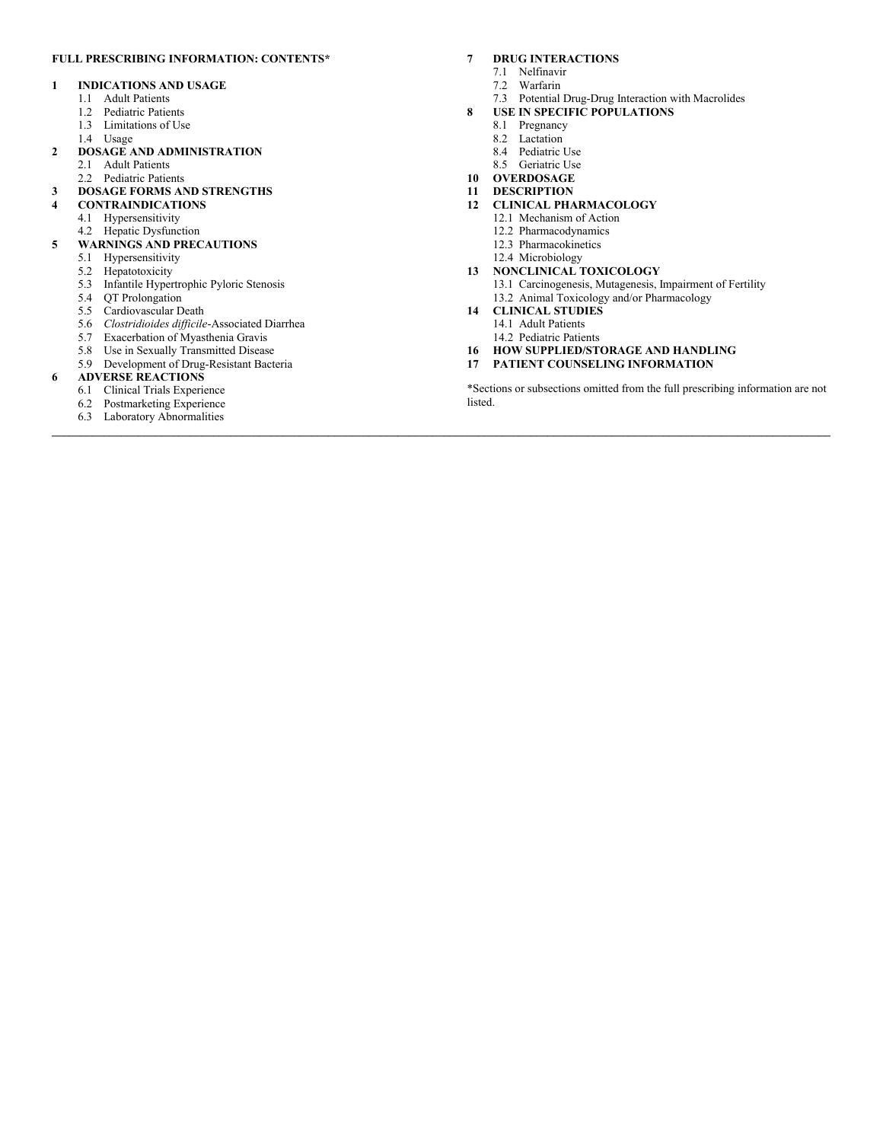#### **FULL PRESCRIBING INFORMATION: CONTENTS\***

#### **1 INDICATIONS AND USAGE**

- 1.1 Adult Patients
- 1.2 Pediatric Patients
- 1.3 Limitations of Use
- 1.4 Usage
- **2 DOSAGE AND ADMINISTRATION**
	- 2.1 Adult Patients
	- 2.2 Pediatric Patients
- **3 DOSAGE FORMS AND STRENGTHS**
- **4 CONTRAINDICATIONS**
	- 4.1 Hypersensitivity
	- 4.2 Hepatic Dysfunction
- **5 WARNINGS AND PRECAUTIONS**
	- 5.1 Hypersensitivity
	- 5.2 Hepatotoxicity
	- 5.3 Infantile Hypertrophic Pyloric Stenosis
	- 5.4 QT Prolongation
	- 5.5 Cardiovascular Death
	- 5.6 *Clostridioides difficile*-Associated Diarrhea
	- 5.7 Exacerbation of Myasthenia Gravis
	- 5.8 Use in Sexually Transmitted Disease
	- 5.9 Development of Drug-Resistant Bacteria

#### **6 ADVERSE REACTIONS**

- 6.1 Clinical Trials Experience
- 6.2 Postmarketing Experience
- 6.3 Laboratory Abnormalities

#### **7 DRUG INTERACTIONS**

- 7.1 Nelfinavir
- 7.2 Warfarin
- 7.3 Potential Drug-Drug Interaction with Macrolides
- **8 USE IN SPECIFIC POPULATIONS**
	- 8.1 Pregnancy
	- 8.2 Lactation
		- 8.4 Pediatric Use
		- 8.5 Geriatric Use
- **10 OVERDOSAGE**
- **11 DESCRIPTION**
- **12 CLINICAL PHARMACOLOGY**
	- 12.1 Mechanism of Action
	- 12.2 Pharmacodynamics
	- 12.3 Pharmacokinetics
	- 12.4 Microbiology

#### **13 NONCLINICAL TOXICOLOGY**

- 13.1 Carcinogenesis, Mutagenesis, Impairment of Fertility
- 13.2 Animal Toxicology and/or Pharmacology

#### **14 CLINICAL STUDIES**

**\_\_\_\_\_\_\_\_\_\_\_\_\_\_\_\_\_\_\_\_\_\_\_\_\_\_\_\_\_\_\_\_\_\_\_\_\_\_\_\_\_\_\_\_\_\_\_\_\_\_\_\_\_\_\_\_\_\_\_\_\_\_\_\_\_\_\_\_\_\_\_\_\_\_\_\_\_\_\_\_\_\_\_\_\_\_\_\_\_\_\_\_\_\_\_\_\_\_\_\_\_\_\_\_\_\_\_\_\_\_\_\_\_\_\_\_\_\_\_\_\_\_\_\_\_\_\_\_\_\_\_\_\_\_\_**

- 14.1 Adult Patients
- 14.2 Pediatric Patients
- **16 HOW SUPPLIED/STORAGE AND HANDLING**
- **17 PATIENT COUNSELING INFORMATION**

\*Sections or subsections omitted from the full prescribing information are not listed.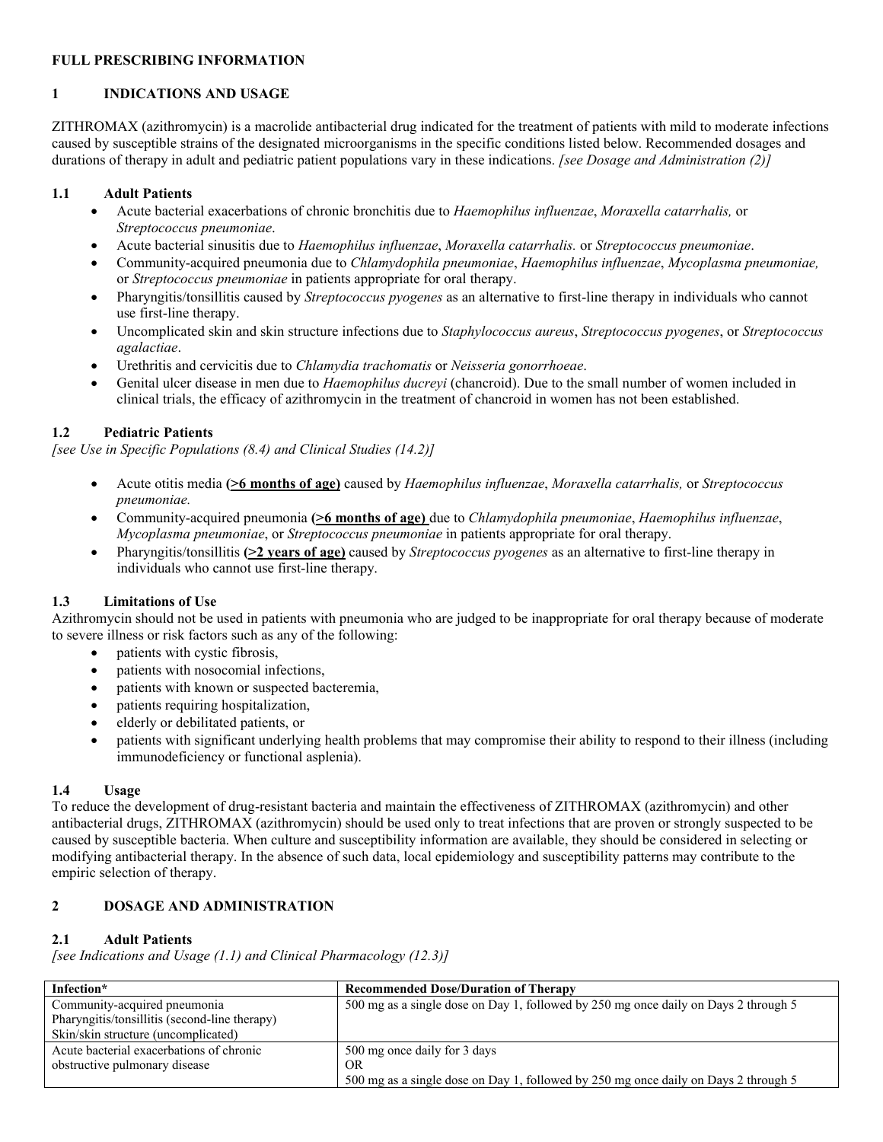# **FULL PRESCRIBING INFORMATION**

# **1 INDICATIONS AND USAGE**

ZITHROMAX (azithromycin) is a macrolide antibacterial drug indicated for the treatment of patients with mild to moderate infections caused by susceptible strains of the designated microorganisms in the specific conditions listed below. Recommended dosages and durations of therapy in adult and pediatric patient populations vary in these indications. *[see Dosage and Administration (2)]*

### **1.1 Adult Patients**

- Acute bacterial exacerbations of chronic bronchitis due to *Haemophilus influenzae*, *Moraxella catarrhalis,* or *Streptococcus pneumoniae*.
- Acute bacterial sinusitis due to *Haemophilus influenzae*, *Moraxella catarrhalis.* or *Streptococcus pneumoniae*.
- Community-acquired pneumonia due to *Chlamydophila pneumoniae*, *Haemophilus influenzae*, *Mycoplasma pneumoniae,* or *Streptococcus pneumoniae* in patients appropriate for oral therapy.
- Pharyngitis/tonsillitis caused by *Streptococcus pyogenes* as an alternative to first-line therapy in individuals who cannot use first-line therapy.
- Uncomplicated skin and skin structure infections due to *Staphylococcus aureus*, *Streptococcus pyogenes*, or *Streptococcus agalactiae*.
- Urethritis and cervicitis due to *Chlamydia trachomatis* or *Neisseria gonorrhoeae*.
- Genital ulcer disease in men due to *Haemophilus ducreyi* (chancroid). Due to the small number of women included in clinical trials, the efficacy of azithromycin in the treatment of chancroid in women has not been established.

# **1.2 Pediatric Patients**

*[see Use in Specific Populations (8.4) and Clinical Studies (14.2)]*

- Acute otitis media **(>6 months of age)** caused by *Haemophilus influenzae*, *Moraxella catarrhalis,* or *Streptococcus pneumoniae.*
- Community-acquired pneumonia **(>6 months of age)** due to *Chlamydophila pneumoniae*, *Haemophilus influenzae*, *Mycoplasma pneumoniae*, or *Streptococcus pneumoniae* in patients appropriate for oral therapy.
- Pharyngitis/tonsillitis **(>2 years of age)** caused by *Streptococcus pyogenes* as an alternative to first-line therapy in individuals who cannot use first-line therapy.

# **1.3 Limitations of Use**

Azithromycin should not be used in patients with pneumonia who are judged to be inappropriate for oral therapy because of moderate to severe illness or risk factors such as any of the following:

- patients with cystic fibrosis,
- patients with nosocomial infections,
- patients with known or suspected bacteremia,
- patients requiring hospitalization,
- elderly or debilitated patients, or
- patients with significant underlying health problems that may compromise their ability to respond to their illness (including immunodeficiency or functional asplenia).

### **1.4 Usage**

To reduce the development of drug-resistant bacteria and maintain the effectiveness of ZITHROMAX (azithromycin) and other antibacterial drugs, ZITHROMAX (azithromycin) should be used only to treat infections that are proven or strongly suspected to be caused by susceptible bacteria. When culture and susceptibility information are available, they should be considered in selecting or modifying antibacterial therapy. In the absence of such data, local epidemiology and susceptibility patterns may contribute to the empiric selection of therapy.

# **2 DOSAGE AND ADMINISTRATION**

# **2.1 Adult Patients**

*[see Indications and Usage (1.1) and Clinical Pharmacology (12.3)]*

| Infection*                                    | <b>Recommended Dose/Duration of Therapy</b>                                         |
|-----------------------------------------------|-------------------------------------------------------------------------------------|
| Community-acquired pneumonia                  | 500 mg as a single dose on Day 1, followed by 250 mg once daily on Days 2 through 5 |
| Pharyngitis/tonsillitis (second-line therapy) |                                                                                     |
| Skin/skin structure (uncomplicated)           |                                                                                     |
| Acute bacterial exacerbations of chronic      | 500 mg once daily for 3 days                                                        |
| obstructive pulmonary disease                 | -OR                                                                                 |
|                                               | 500 mg as a single dose on Day 1, followed by 250 mg once daily on Days 2 through 5 |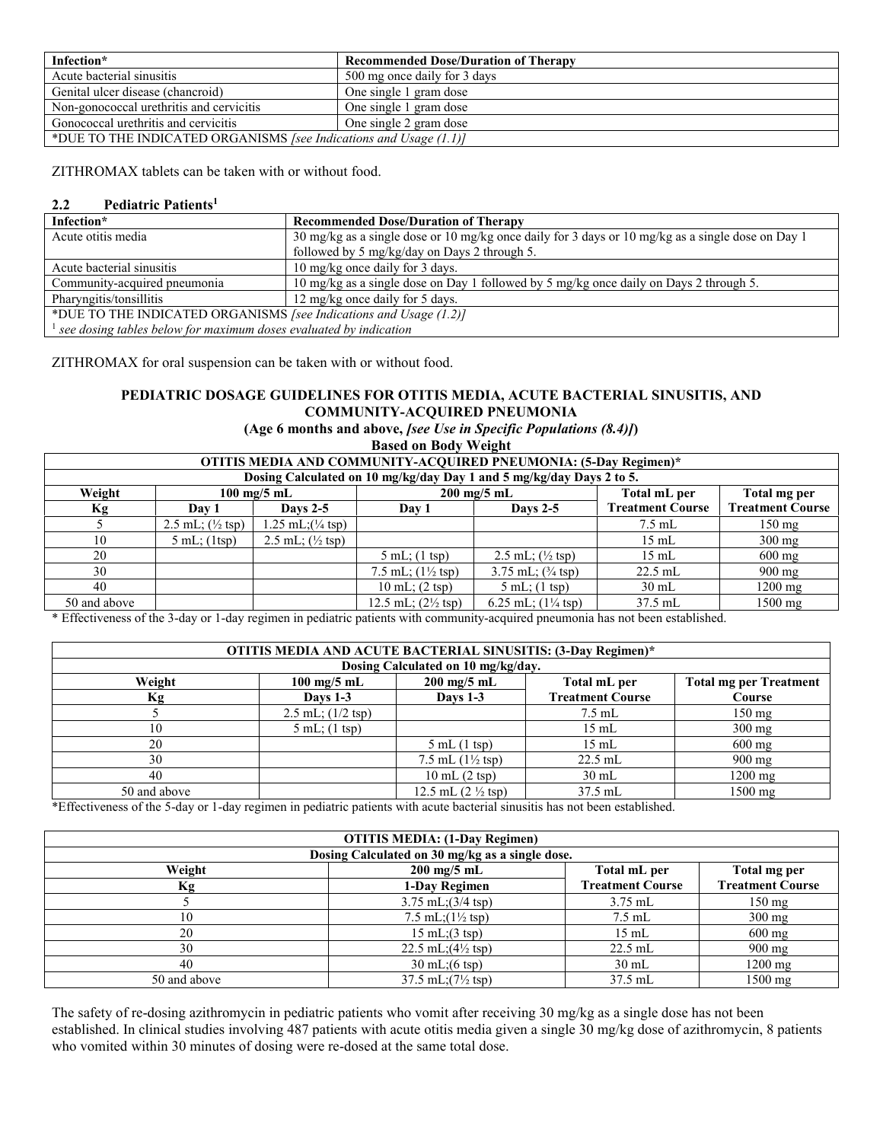| Infection*                                                        | <b>Recommended Dose/Duration of Therapy</b> |  |
|-------------------------------------------------------------------|---------------------------------------------|--|
| Acute bacterial sinusitis                                         | 500 mg once daily for 3 days                |  |
| Genital ulcer disease (chancroid)                                 | One single 1 gram dose                      |  |
| Non-gonococcal urethritis and cervicitis                          | One single 1 gram dose                      |  |
| Gonococcal urethritis and cervicitis                              | One single 2 gram dose                      |  |
| *DUE TO THE INDICATED ORGANISMS [see Indications and Usage (1.1)] |                                             |  |

ZITHROMAX tablets can be taken with or without food.

# **2.2 Pediatric Patients<sup>1</sup>**

| Infection*                                                                      | <b>Recommended Dose/Duration of Therapy</b>                                                       |  |  |
|---------------------------------------------------------------------------------|---------------------------------------------------------------------------------------------------|--|--|
| Acute otitis media                                                              | 30 mg/kg as a single dose or 10 mg/kg once daily for 3 days or 10 mg/kg as a single dose on Day 1 |  |  |
|                                                                                 | followed by 5 mg/kg/day on Days 2 through 5.                                                      |  |  |
| Acute bacterial sinusitis                                                       | 10 mg/kg once daily for 3 days.                                                                   |  |  |
| Community-acquired pneumonia                                                    | 10 mg/kg as a single dose on Day 1 followed by 5 mg/kg once daily on Days 2 through 5.            |  |  |
| Pharyngitis/tonsillitis                                                         | 12 mg/kg once daily for 5 days.                                                                   |  |  |
| *DUE TO THE INDICATED ORGANISMS [see Indications and Usage (1.2)]               |                                                                                                   |  |  |
| $\mathcal{A}$ see dosing tables below for maximum doses evaluated by indication |                                                                                                   |  |  |

ZITHROMAX for oral suspension can be taken with or without food.

# **PEDIATRIC DOSAGE GUIDELINES FOR OTITIS MEDIA, ACUTE BACTERIAL SINUSITIS, AND COMMUNITY-ACQUIRED PNEUMONIA**

**(Age 6 months and above,** *[see Use in Specific Populations (8.4)]***)**

**Based on Body Weight**

| OTITIS MEDIA AND COMMUNITY-ACQUIRED PNEUMONIA: (5-Day Regimen)*      |                                                                                |                                     |                                      |                                       |                         |                         |  |
|----------------------------------------------------------------------|--------------------------------------------------------------------------------|-------------------------------------|--------------------------------------|---------------------------------------|-------------------------|-------------------------|--|
| Dosing Calculated on 10 mg/kg/day Day 1 and 5 mg/kg/day Days 2 to 5. |                                                                                |                                     |                                      |                                       |                         |                         |  |
| Weight                                                               | $200$ mg/5 mL<br>Total mL per<br>Total mg per<br>$100 \text{ mg}/5 \text{ mL}$ |                                     |                                      |                                       |                         |                         |  |
| Кg                                                                   | Dav 1                                                                          | Davs $2-5$                          | Day 1                                | Days $2-5$                            | <b>Treatment Course</b> | <b>Treatment Course</b> |  |
|                                                                      | 2.5 mL; $(\frac{1}{2} \text{ tsp})$                                            | $1.25$ mL; $\frac{1}{4}$ tsp)       |                                      |                                       | $7.5$ mL                | $150 \text{ mg}$        |  |
| 10                                                                   | $5 \text{ mL}$ ; (1tsp)                                                        | 2.5 mL; $(\frac{1}{2} \text{ tsp})$ |                                      |                                       | $15 \text{ mL}$         | $300 \text{ mg}$        |  |
| 20                                                                   |                                                                                |                                     | $5 \text{ mL}$ ; (1 tsp)             | 2.5 mL; $(\frac{1}{2} \text{ tsp})$   | $15 \text{ mL}$         | $600 \text{ mg}$        |  |
| 30                                                                   |                                                                                |                                     | 7.5 mL; $(1\frac{1}{2} \text{ tsp})$ | $3.75$ mL; $(3/4$ tsp)                | $22.5$ mL               | $900 \text{ mg}$        |  |
| 40                                                                   |                                                                                |                                     | $10 \text{ mL}$ ; $(2 \text{ tsp})$  | $5 \text{ mL}$ ; (1 tsp)              | $30 \text{ mL}$         | $1200 \text{ mg}$       |  |
| 50 and above                                                         |                                                                                |                                     | 12.5 mL; $(2\frac{1}{2}$ tsp)        | 6.25 mL; $(1\frac{1}{4} \text{ tsp})$ | $37.5$ mL               | $1500$ mg               |  |
|                                                                      | .<br>.                                                                         | .                                   |                                      | .                                     | .                       |                         |  |

\* Effectiveness of the 3-day or 1-day regimen in pediatric patients with community-acquired pneumonia has not been established.

| OTITIS MEDIA AND ACUTE BACTERIAL SINUSITIS: (3-Day Regimen)* |                               |                                       |                         |                               |  |
|--------------------------------------------------------------|-------------------------------|---------------------------------------|-------------------------|-------------------------------|--|
| Dosing Calculated on 10 mg/kg/day.                           |                               |                                       |                         |                               |  |
| Weight                                                       | $100 \text{ mg}/5 \text{ mL}$ | $200 \text{ mg}/5 \text{ mL}$         | Total mL per            | <b>Total mg per Treatment</b> |  |
| Кg                                                           | <b>Days 1-3</b>               | <b>Days 1-3</b>                       | <b>Treatment Course</b> | Course                        |  |
|                                                              | $2.5$ mL; $(1/2$ tsp)         |                                       | $7.5$ mL                | $150 \text{ mg}$              |  |
| 10                                                           | $5$ mL; $(1$ tsp)             |                                       | $15 \text{ mL}$         | $300 \text{ mg}$              |  |
| 20                                                           |                               | $5$ mL $(1$ tsp)                      | $15 \text{ mL}$         | $600 \text{ mg}$              |  |
| 30                                                           |                               | 7.5 mL $(1\frac{1}{2} \text{ tsp})$   | $22.5$ mL               | $900 \text{ mg}$              |  |
| 40                                                           |                               | $10 \text{ mL} (2 \text{ tsp})$       | $30 \text{ mL}$         | $1200$ mg                     |  |
| 50 and above                                                 |                               | 12.5 mL $(2 \frac{1}{2} \text{ tsp})$ | $37.5$ mL               | 1500 mg                       |  |

\*Effectiveness of the 5-day or 1-day regimen in pediatric patients with acute bacterial sinusitis has not been established.

| <b>OTITIS MEDIA: (1-Day Regimen)</b> |                                                 |                         |                         |  |  |
|--------------------------------------|-------------------------------------------------|-------------------------|-------------------------|--|--|
|                                      | Dosing Calculated on 30 mg/kg as a single dose. |                         |                         |  |  |
| Weight                               | $200$ mg/5 mL                                   | Total mL per            | Total mg per            |  |  |
| Κg                                   | 1-Day Regimen                                   | <b>Treatment Course</b> | <b>Treatment Course</b> |  |  |
|                                      | $3.75$ mL; $(3/4$ tsp)                          | $3.75$ mL               | $150 \text{ mg}$        |  |  |
| 10                                   | 7.5 mL; $(1\frac{1}{2} \text{ tsp})$            | $7.5$ mL                | $300 \text{ mg}$        |  |  |
| 20                                   | $15 \text{ mL}$ ; $(3 \text{ tsp})$             | $15 \text{ mL}$         | $600 \text{ mg}$        |  |  |
| 30                                   | 22.5 mL; $(4\frac{1}{2} \text{ tsp})$           | $22.5$ mL               | $900 \text{ mg}$        |  |  |
| 40                                   | $30 \text{ mL}$ ; $(6 \text{ tsp})$             | $30 \text{ mL}$         | $1200$ mg               |  |  |
| 50 and above                         | $37.5$ mL; $(7\frac{1}{2}$ tsp)                 | $37.5$ mL               | $1500$ mg               |  |  |

The safety of re-dosing azithromycin in pediatric patients who vomit after receiving 30 mg/kg as a single dose has not been established. In clinical studies involving 487 patients with acute otitis media given a single 30 mg/kg dose of azithromycin, 8 patients who vomited within 30 minutes of dosing were re-dosed at the same total dose.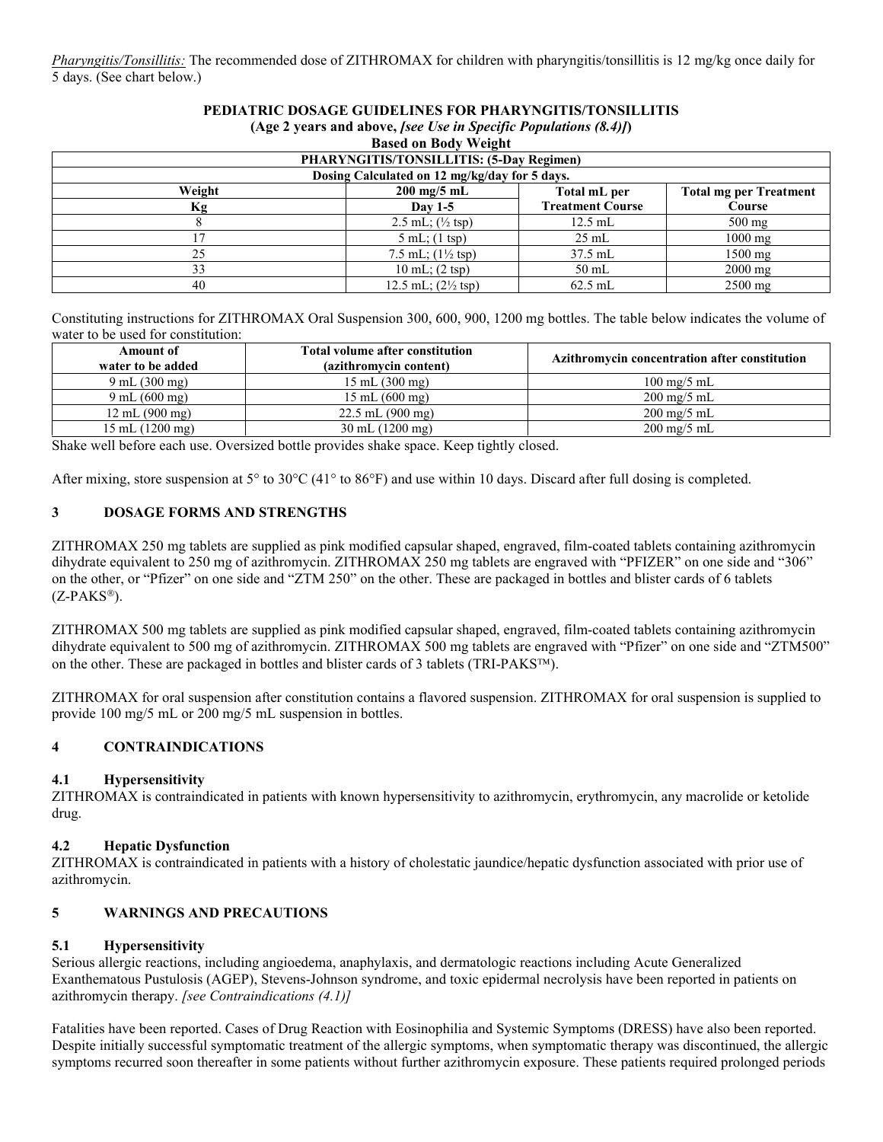*Pharyngitis/Tonsillitis:* The recommended dose of ZITHROMAX for children with pharyngitis/tonsillitis is 12 mg/kg once daily for 5 days. (See chart below.)

#### **PEDIATRIC DOSAGE GUIDELINES FOR PHARYNGITIS/TONSILLITIS (Age 2 years and above,** *[see Use in Specific Populations (8.4)]***)**

| <b>Based on Body Weight</b>                     |                                               |                         |                               |  |  |  |
|-------------------------------------------------|-----------------------------------------------|-------------------------|-------------------------------|--|--|--|
| <b>PHARYNGITIS/TONSILLITIS: (5-Day Regimen)</b> |                                               |                         |                               |  |  |  |
|                                                 | Dosing Calculated on 12 mg/kg/day for 5 days. |                         |                               |  |  |  |
| Weight                                          | $200$ mg/5 mL                                 | Total mL per            | <b>Total mg per Treatment</b> |  |  |  |
| Кg                                              | Day $1-5$                                     | <b>Treatment Course</b> | Course                        |  |  |  |
|                                                 | 2.5 mL; $(\frac{1}{2} \text{ tsp})$           | $12.5$ mL               | $500 \text{ mg}$              |  |  |  |
|                                                 | $5 \text{ mL}$ ; (1 tsp)                      | $25 \text{ mL}$         | $1000 \text{ mg}$             |  |  |  |
| 25                                              | 7.5 mL; $(1\frac{1}{2} \text{ tsp})$          | 37.5 mL                 | $1500$ mg                     |  |  |  |
| 33                                              | $10 \text{ mL}$ ; $(2 \text{ tsp})$           | $50$ mL                 | $2000 \text{ mg}$             |  |  |  |
| 40                                              | 12.5 mL; $(2\frac{1}{2}$ tsp)                 | $62.5$ mL               | $2500$ mg                     |  |  |  |

Constituting instructions for ZITHROMAX Oral Suspension 300, 600, 900, 1200 mg bottles. The table below indicates the volume of water to be used for constitution:

| Amount of<br>water to be added    | Total volume after constitution<br>(azithromycin content) | Azithromycin concentration after constitution |
|-----------------------------------|-----------------------------------------------------------|-----------------------------------------------|
| $9 \text{ mL} (300 \text{ mg})$   | $15 \text{ mL} (300 \text{ mg})$                          | $100 \text{ mg}/5 \text{ mL}$                 |
| $9 \text{ mL} (600 \text{ mg})$   | $15 \text{ mL} (600 \text{ mg})$                          | $200 \text{ mg}/5 \text{ mL}$                 |
| $12 \text{ mL} (900 \text{ mg})$  | $22.5$ mL $(900 \text{ mg})$                              | $200 \text{ mg}/5 \text{ mL}$                 |
| $15 \text{ mL} (1200 \text{ mg})$ | $30 \text{ mL} (1200 \text{ mg})$                         | $200 \text{ mg}/5 \text{ mL}$                 |

Shake well before each use. Oversized bottle provides shake space. Keep tightly closed.

After mixing, store suspension at  $5^{\circ}$  to  $30^{\circ}$ C (41<sup>o</sup> to 86 $^{\circ}$ F) and use within 10 days. Discard after full dosing is completed.

# **3 DOSAGE FORMS AND STRENGTHS**

ZITHROMAX 250 mg tablets are supplied as pink modified capsular shaped, engraved, film-coated tablets containing azithromycin dihydrate equivalent to 250 mg of azithromycin. ZITHROMAX 250 mg tablets are engraved with "PFIZER" on one side and "306" on the other, or "Pfizer" on one side and "ZTM 250" on the other. These are packaged in bottles and blister cards of 6 tablets  $(Z-PAKS^{\circledR}).$ 

ZITHROMAX 500 mg tablets are supplied as pink modified capsular shaped, engraved, film-coated tablets containing azithromycin dihydrate equivalent to 500 mg of azithromycin. ZITHROMAX 500 mg tablets are engraved with "Pfizer" on one side and "ZTM500" on the other. These are packaged in bottles and blister cards of 3 tablets (TRI-PAKS<sup>TM</sup>).

ZITHROMAX for oral suspension after constitution contains a flavored suspension. ZITHROMAX for oral suspension is supplied to provide 100 mg/5 mL or 200 mg/5 mL suspension in bottles.

### **4 CONTRAINDICATIONS**

### **4.1 Hypersensitivity**

ZITHROMAX is contraindicated in patients with known hypersensitivity to azithromycin, erythromycin, any macrolide or ketolide drug.

### **4.2 Hepatic Dysfunction**

ZITHROMAX is contraindicated in patients with a history of cholestatic jaundice/hepatic dysfunction associated with prior use of azithromycin.

# **5 WARNINGS AND PRECAUTIONS**

### **5.1 Hypersensitivity**

Serious allergic reactions, including angioedema, anaphylaxis, and dermatologic reactions including Acute Generalized Exanthematous Pustulosis (AGEP), Stevens-Johnson syndrome, and toxic epidermal necrolysis have been reported in patients on azithromycin therapy. *[see Contraindications (4.1)]*

Fatalities have been reported. Cases of Drug Reaction with Eosinophilia and Systemic Symptoms (DRESS) have also been reported. Despite initially successful symptomatic treatment of the allergic symptoms, when symptomatic therapy was discontinued, the allergic symptoms recurred soon thereafter in some patients without further azithromycin exposure. These patients required prolonged periods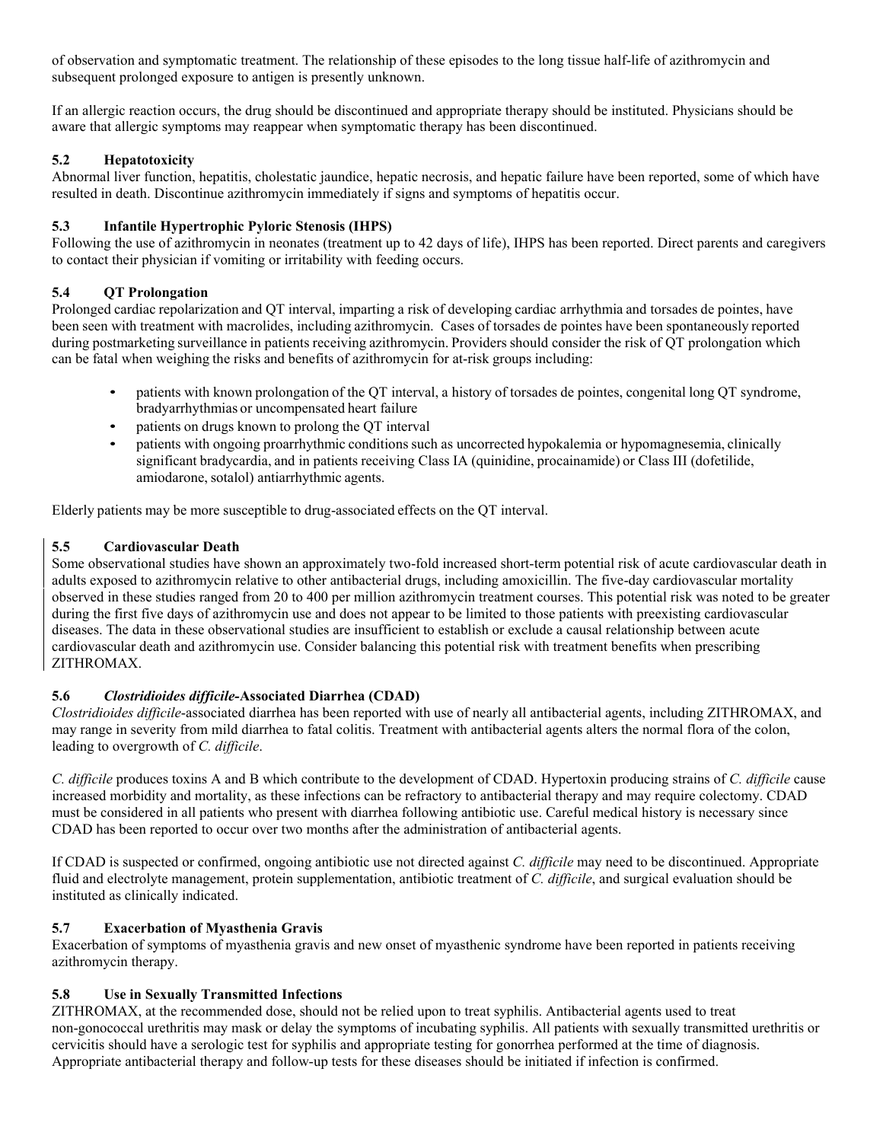of observation and symptomatic treatment. The relationship of these episodes to the long tissue half-life of azithromycin and subsequent prolonged exposure to antigen is presently unknown.

If an allergic reaction occurs, the drug should be discontinued and appropriate therapy should be instituted. Physicians should be aware that allergic symptoms may reappear when symptomatic therapy has been discontinued.

# **5.2 Hepatotoxicity**

Abnormal liver function, hepatitis, cholestatic jaundice, hepatic necrosis, and hepatic failure have been reported, some of which have resulted in death. Discontinue azithromycin immediately if signs and symptoms of hepatitis occur.

# **5.3 Infantile Hypertrophic Pyloric Stenosis (IHPS)**

Following the use of azithromycin in neonates (treatment up to 42 days of life), IHPS has been reported. Direct parents and caregivers to contact their physician if vomiting or irritability with feeding occurs.

# **5.4 QT Prolongation**

Prolonged cardiac repolarization and QT interval, imparting a risk of developing cardiac arrhythmia and torsades de pointes, have been seen with treatment with macrolides, including azithromycin. Cases of torsades de pointes have been spontaneously reported during postmarketing surveillance in patients receiving azithromycin. Providers should consider the risk of QT prolongation which can be fatal when weighing the risks and benefits of azithromycin for at-risk groups including:

- patients with known prolongation of the QT interval, a history of torsades de pointes, congenital long QT syndrome, bradyarrhythmias or uncompensated heart failure
- patients on drugs known to prolong the QT interval
- patients with ongoing proarrhythmic conditions such as uncorrected hypokalemia or hypomagnesemia, clinically significant bradycardia, and in patients receiving Class IA (quinidine, procainamide) or Class III (dofetilide, amiodarone, sotalol) antiarrhythmic agents.

Elderly patients may be more susceptible to drug-associated effects on the QT interval.

# **5.5 Cardiovascular Death**

Some observational studies have shown an approximately two-fold increased short-term potential risk of acute cardiovascular death in adults exposed to azithromycin relative to other antibacterial drugs, including amoxicillin. The five-day cardiovascular mortality observed in these studies ranged from 20 to 400 per million azithromycin treatment courses. This potential risk was noted to be greater during the first five days of azithromycin use and does not appear to be limited to those patients with preexisting cardiovascular diseases. The data in these observational studies are insufficient to establish or exclude a causal relationship between acute cardiovascular death and azithromycin use. Consider balancing this potential risk with treatment benefits when prescribing ZITHROMAX.

### **5.6** *Clostridioides difficile-***Associated Diarrhea (CDAD)**

*Clostridioides difficile*-associated diarrhea has been reported with use of nearly all antibacterial agents, including ZITHROMAX, and may range in severity from mild diarrhea to fatal colitis. Treatment with antibacterial agents alters the normal flora of the colon, leading to overgrowth of *C. difficile*.

*C. difficile* produces toxins A and B which contribute to the development of CDAD. Hypertoxin producing strains of *C. difficile* cause increased morbidity and mortality, as these infections can be refractory to antibacterial therapy and may require colectomy. CDAD must be considered in all patients who present with diarrhea following antibiotic use. Careful medical history is necessary since CDAD has been reported to occur over two months after the administration of antibacterial agents.

If CDAD is suspected or confirmed, ongoing antibiotic use not directed against *C. difficile* may need to be discontinued. Appropriate fluid and electrolyte management, protein supplementation, antibiotic treatment of *C. difficile*, and surgical evaluation should be instituted as clinically indicated.

# **5.7 Exacerbation of Myasthenia Gravis**

Exacerbation of symptoms of myasthenia gravis and new onset of myasthenic syndrome have been reported in patients receiving azithromycin therapy.

### **5.8 Use in Sexually Transmitted Infections**

ZITHROMAX, at the recommended dose, should not be relied upon to treat syphilis. Antibacterial agents used to treat non-gonococcal urethritis may mask or delay the symptoms of incubating syphilis. All patients with sexually transmitted urethritis or cervicitis should have a serologic test for syphilis and appropriate testing for gonorrhea performed at the time of diagnosis. Appropriate antibacterial therapy and follow-up tests for these diseases should be initiated if infection is confirmed.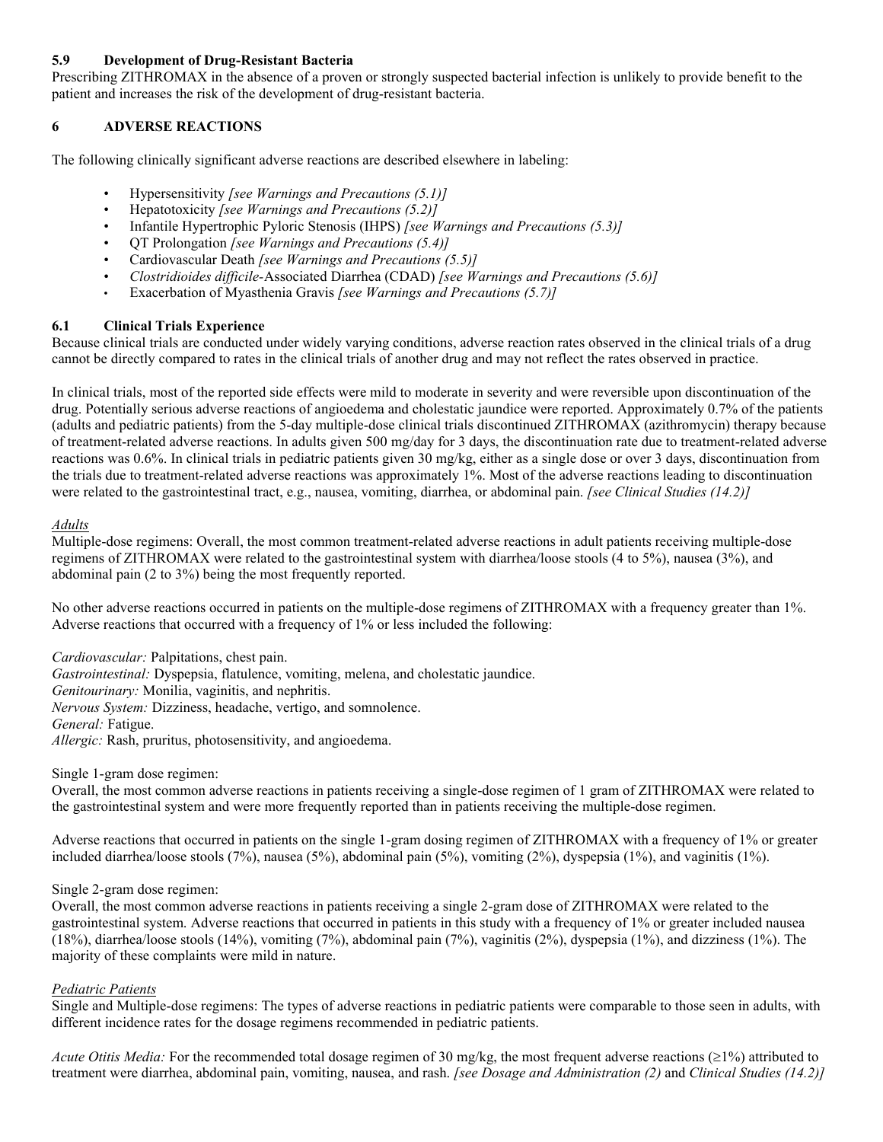# **5.9 Development of Drug-Resistant Bacteria**

Prescribing ZITHROMAX in the absence of a proven or strongly suspected bacterial infection is unlikely to provide benefit to the patient and increases the risk of the development of drug-resistant bacteria.

# **6 ADVERSE REACTIONS**

The following clinically significant adverse reactions are described elsewhere in labeling:

- Hypersensitivity *[see Warnings and Precautions (5.1)]*
- Hepatotoxicity *[see Warnings and Precautions (5.2)]*
- Infantile Hypertrophic Pyloric Stenosis (IHPS) *[see Warnings and Precautions (5.3)]*
- QT Prolongation *[see Warnings and Precautions (5.4)]*
- Cardiovascular Death *[see Warnings and Precautions (5.5)]*
- *Clostridioides difficile-*Associated Diarrhea (CDAD) *[see Warnings and Precautions (5.6)]*
- Exacerbation of Myasthenia Gravis *[see Warnings and Precautions (5.7)]*

# **6.1 Clinical Trials Experience**

Because clinical trials are conducted under widely varying conditions, adverse reaction rates observed in the clinical trials of a drug cannot be directly compared to rates in the clinical trials of another drug and may not reflect the rates observed in practice.

In clinical trials, most of the reported side effects were mild to moderate in severity and were reversible upon discontinuation of the drug. Potentially serious adverse reactions of angioedema and cholestatic jaundice were reported. Approximately 0.7% of the patients (adults and pediatric patients) from the 5-day multiple-dose clinical trials discontinued ZITHROMAX (azithromycin) therapy because of treatment-related adverse reactions. In adults given 500 mg/day for 3 days, the discontinuation rate due to treatment-related adverse reactions was 0.6%. In clinical trials in pediatric patients given 30 mg/kg, either as a single dose or over 3 days, discontinuation from the trials due to treatment-related adverse reactions was approximately 1%. Most of the adverse reactions leading to discontinuation were related to the gastrointestinal tract, e.g., nausea, vomiting, diarrhea, or abdominal pain. *[see Clinical Studies (14.2)]*

### *Adults*

Multiple-dose regimens: Overall, the most common treatment-related adverse reactions in adult patients receiving multiple-dose regimens of ZITHROMAX were related to the gastrointestinal system with diarrhea/loose stools (4 to 5%), nausea (3%), and abdominal pain (2 to 3%) being the most frequently reported.

No other adverse reactions occurred in patients on the multiple-dose regimens of ZITHROMAX with a frequency greater than 1%. Adverse reactions that occurred with a frequency of 1% or less included the following:

*Cardiovascular:* Palpitations, chest pain.

*Gastrointestinal:* Dyspepsia, flatulence, vomiting, melena, and cholestatic jaundice. *Genitourinary:* Monilia, vaginitis, and nephritis.

*Nervous System:* Dizziness, headache, vertigo, and somnolence.

*General:* Fatigue.

*Allergic:* Rash, pruritus, photosensitivity, and angioedema.

Single 1-gram dose regimen:

Overall, the most common adverse reactions in patients receiving a single-dose regimen of 1 gram of ZITHROMAX were related to the gastrointestinal system and were more frequently reported than in patients receiving the multiple-dose regimen.

Adverse reactions that occurred in patients on the single 1-gram dosing regimen of ZITHROMAX with a frequency of 1% or greater included diarrhea/loose stools (7%), nausea (5%), abdominal pain (5%), vomiting (2%), dyspepsia (1%), and vaginitis (1%).

### Single 2-gram dose regimen:

Overall, the most common adverse reactions in patients receiving a single 2-gram dose of ZITHROMAX were related to the gastrointestinal system. Adverse reactions that occurred in patients in this study with a frequency of 1% or greater included nausea (18%), diarrhea/loose stools (14%), vomiting (7%), abdominal pain (7%), vaginitis (2%), dyspepsia (1%), and dizziness (1%). The majority of these complaints were mild in nature.

### *Pediatric Patients*

Single and Multiple-dose regimens: The types of adverse reactions in pediatric patients were comparable to those seen in adults, with different incidence rates for the dosage regimens recommended in pediatric patients.

*Acute Otitis Media:* For the recommended total dosage regimen of 30 mg/kg, the most frequent adverse reactions ( $\geq$ 1%) attributed to treatment were diarrhea, abdominal pain, vomiting, nausea, and rash. *[see Dosage and Administration (2)* and *Clinical Studies (14.2)]*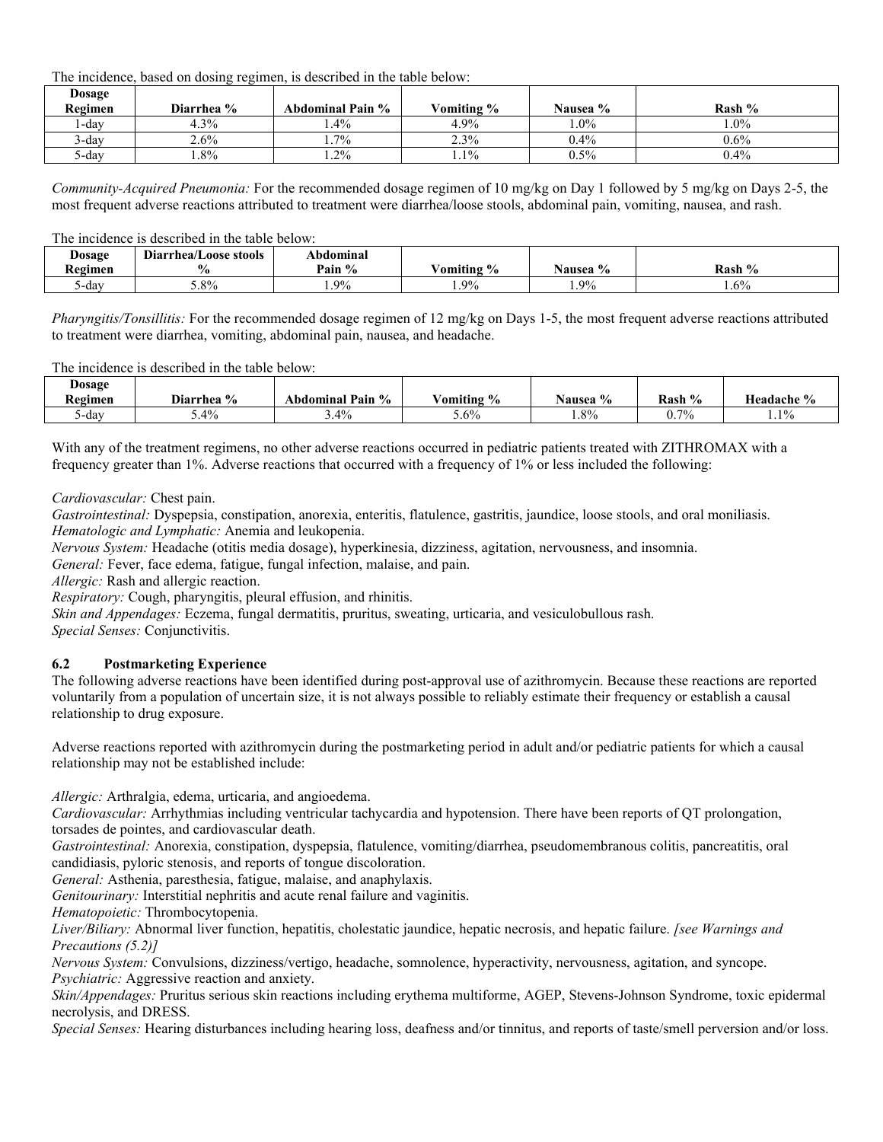The incidence, based on dosing regimen, is described in the table below:

| Dosage<br>Regimen | Diarrhea % | Abdominal Pain % | Vomiting % | Nausea % | Rash %  |
|-------------------|------------|------------------|------------|----------|---------|
| ∡-day             | 4.3%       | $.4\%$           | 4.9%       | $1.0\%$  | $0.0\%$ |
| $3$ -day          | 2.6%       | 7%               | 2.3%       | $0.4\%$  | $0.6\%$ |
| ∿-dav             | $.8\%$     | 1.2%             | $1.1\%$    | $0.5\%$  | $0.4\%$ |

*Community-Acquired Pneumonia:* For the recommended dosage regimen of 10 mg/kg on Day 1 followed by 5 mg/kg on Days 2-5, the most frequent adverse reactions attributed to treatment were diarrhea/loose stools, abdominal pain, vomiting, nausea, and rash.

#### The incidence is described in the table below:

| <b>Dosage</b> | $\cdots$<br>Diarrhea/Loose stools | Abdominal             |                            |                |        |
|---------------|-----------------------------------|-----------------------|----------------------------|----------------|--------|
| Regimen       |                                   | $\frac{0}{0}$<br>Pain | $\frac{1}{2}$<br>⁄ omiting | Nausea %       | Rash % |
| dav-          | 5.8%                              | 9%                    | $9\%$<br>                  | $Q_0$<br>1.770 | $.6\%$ |

*Pharyngitis/Tonsillitis:* For the recommended dosage regimen of 12 mg/kg on Days 1-5, the most frequent adverse reactions attributed to treatment were diarrhea, vomiting, abdominal pain, nausea, and headache.

The incidence is described in the table below:

| Dosage         |                           |                                    |                           |                         |              |            |
|----------------|---------------------------|------------------------------------|---------------------------|-------------------------|--------------|------------|
| <b>Regimen</b> | $\frac{0}{0}$<br>Diarrhea | Pain<br>$\frac{1}{2}$<br>Abdominal | $\frac{6}{9}$<br>/omiting | $\frac{6}{9}$<br>Nausea | Rash %<br>″∩ | Headache % |
| dav-           | $.4\%$                    | 3.4%                               | $3.6\%$                   | 1.8%                    | 0.7%         | $1.1\%$    |

With any of the treatment regimens, no other adverse reactions occurred in pediatric patients treated with ZITHROMAX with a frequency greater than 1%. Adverse reactions that occurred with a frequency of 1% or less included the following:

*Cardiovascular:* Chest pain.

*Gastrointestinal:* Dyspepsia, constipation, anorexia, enteritis, flatulence, gastritis, jaundice, loose stools, and oral moniliasis. *Hematologic and Lymphatic:* Anemia and leukopenia.

*Nervous System:* Headache (otitis media dosage), hyperkinesia, dizziness, agitation, nervousness, and insomnia.

*General:* Fever, face edema, fatigue, fungal infection, malaise, and pain.

*Allergic:* Rash and allergic reaction.

*Respiratory:* Cough, pharyngitis, pleural effusion, and rhinitis.

*Skin and Appendages:* Eczema, fungal dermatitis, pruritus, sweating, urticaria, and vesiculobullous rash.

*Special Senses:* Conjunctivitis.

### **6.2 Postmarketing Experience**

The following adverse reactions have been identified during post-approval use of azithromycin. Because these reactions are reported voluntarily from a population of uncertain size, it is not always possible to reliably estimate their frequency or establish a causal relationship to drug exposure.

Adverse reactions reported with azithromycin during the postmarketing period in adult and/or pediatric patients for which a causal relationship may not be established include:

*Allergic:* Arthralgia, edema, urticaria, and angioedema.

*Cardiovascular:* Arrhythmias including ventricular tachycardia and hypotension. There have been reports of QT prolongation, torsades de pointes, and cardiovascular death.

*Gastrointestinal:* Anorexia, constipation, dyspepsia, flatulence, vomiting/diarrhea, pseudomembranous colitis, pancreatitis, oral candidiasis, pyloric stenosis, and reports of tongue discoloration.

*General:* Asthenia, paresthesia, fatigue, malaise, and anaphylaxis.

*Genitourinary:* Interstitial nephritis and acute renal failure and vaginitis.

*Hematopoietic:* Thrombocytopenia.

*Liver/Biliary:* Abnormal liver function, hepatitis, cholestatic jaundice, hepatic necrosis, and hepatic failure. *[see Warnings and Precautions (5.2)]*

*Nervous System:* Convulsions, dizziness/vertigo, headache, somnolence, hyperactivity, nervousness, agitation, and syncope. *Psychiatric:* Aggressive reaction and anxiety.

*Skin/Appendages:* Pruritus serious skin reactions including erythema multiforme, AGEP, Stevens-Johnson Syndrome, toxic epidermal necrolysis, and DRESS.

*Special Senses:* Hearing disturbances including hearing loss, deafness and/or tinnitus, and reports of taste/smell perversion and/or loss.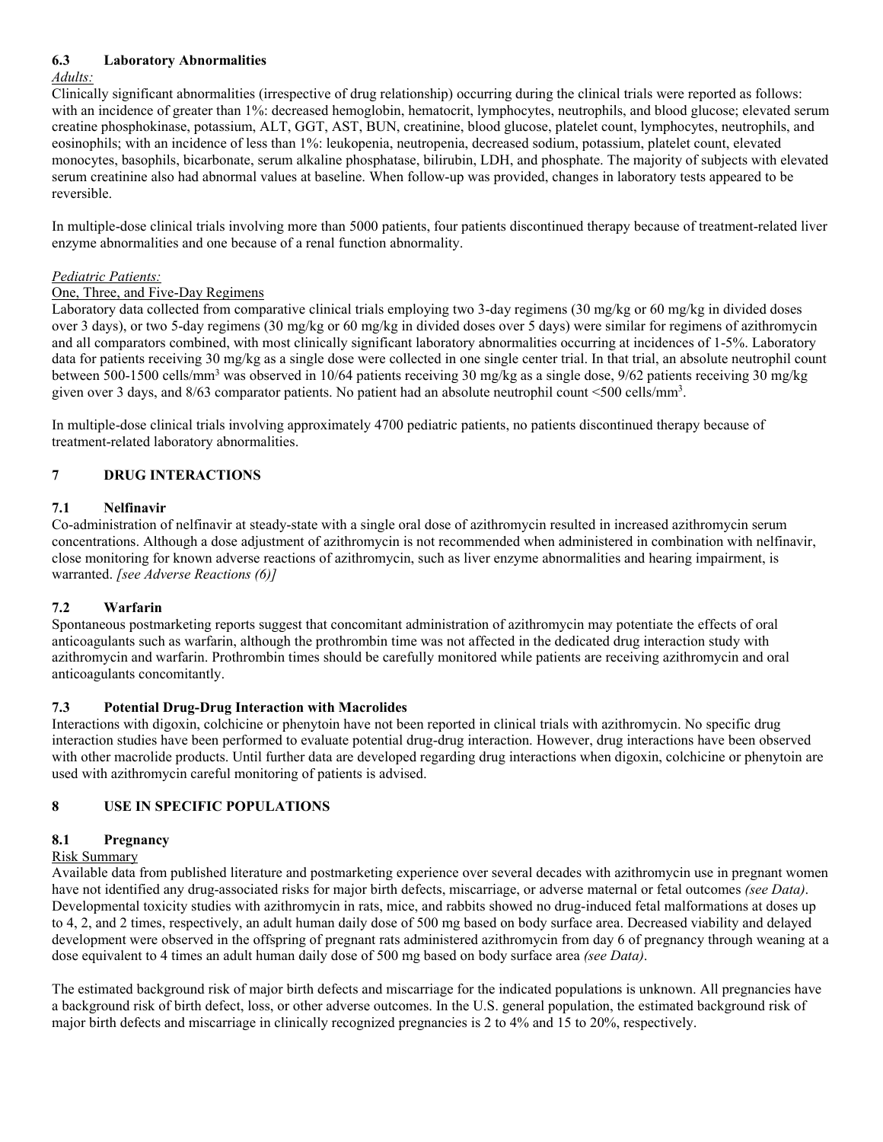# **6.3 Laboratory Abnormalities**

### *Adults:*

Clinically significant abnormalities (irrespective of drug relationship) occurring during the clinical trials were reported as follows: with an incidence of greater than 1%: decreased hemoglobin, hematocrit, lymphocytes, neutrophils, and blood glucose; elevated serum creatine phosphokinase, potassium, ALT, GGT, AST, BUN, creatinine, blood glucose, platelet count, lymphocytes, neutrophils, and eosinophils; with an incidence of less than 1%: leukopenia, neutropenia, decreased sodium, potassium, platelet count, elevated monocytes, basophils, bicarbonate, serum alkaline phosphatase, bilirubin, LDH, and phosphate. The majority of subjects with elevated serum creatinine also had abnormal values at baseline. When follow-up was provided, changes in laboratory tests appeared to be reversible.

In multiple-dose clinical trials involving more than 5000 patients, four patients discontinued therapy because of treatment-related liver enzyme abnormalities and one because of a renal function abnormality.

# *Pediatric Patients:*

# One, Three, and Five-Day Regimens

Laboratory data collected from comparative clinical trials employing two 3-day regimens (30 mg/kg or 60 mg/kg in divided doses over 3 days), or two 5-day regimens (30 mg/kg or 60 mg/kg in divided doses over 5 days) were similar for regimens of azithromycin and all comparators combined, with most clinically significant laboratory abnormalities occurring at incidences of 1-5%. Laboratory data for patients receiving 30 mg/kg as a single dose were collected in one single center trial. In that trial, an absolute neutrophil count between 500-1500 cells/mm<sup>3</sup> was observed in 10/64 patients receiving 30 mg/kg as a single dose, 9/62 patients receiving 30 mg/kg given over 3 days, and 8/63 comparator patients. No patient had an absolute neutrophil count <500 cells/mm<sup>3</sup>.

In multiple-dose clinical trials involving approximately 4700 pediatric patients, no patients discontinued therapy because of treatment-related laboratory abnormalities.

# **7 DRUG INTERACTIONS**

# **7.1 Nelfinavir**

Co-administration of nelfinavir at steady-state with a single oral dose of azithromycin resulted in increased azithromycin serum concentrations. Although a dose adjustment of azithromycin is not recommended when administered in combination with nelfinavir, close monitoring for known adverse reactions of azithromycin, such as liver enzyme abnormalities and hearing impairment, is warranted. *[see Adverse Reactions (6)]*

# **7.2 Warfarin**

Spontaneous postmarketing reports suggest that concomitant administration of azithromycin may potentiate the effects of oral anticoagulants such as warfarin, although the prothrombin time was not affected in the dedicated drug interaction study with azithromycin and warfarin. Prothrombin times should be carefully monitored while patients are receiving azithromycin and oral anticoagulants concomitantly.

### **7.3 Potential Drug-Drug Interaction with Macrolides**

Interactions with digoxin, colchicine or phenytoin have not been reported in clinical trials with azithromycin. No specific drug interaction studies have been performed to evaluate potential drug-drug interaction. However, drug interactions have been observed with other macrolide products. Until further data are developed regarding drug interactions when digoxin, colchicine or phenytoin are used with azithromycin careful monitoring of patients is advised.

# **8 USE IN SPECIFIC POPULATIONS**

# **8.1 Pregnancy**

### Risk Summary

Available data from published literature and postmarketing experience over several decades with azithromycin use in pregnant women have not identified any drug-associated risks for major birth defects, miscarriage, or adverse maternal or fetal outcomes *(see Data)*. Developmental toxicity studies with azithromycin in rats, mice, and rabbits showed no drug-induced fetal malformations at doses up to 4, 2, and 2 times, respectively, an adult human daily dose of 500 mg based on body surface area. Decreased viability and delayed development were observed in the offspring of pregnant rats administered azithromycin from day 6 of pregnancy through weaning at a dose equivalent to 4 times an adult human daily dose of 500 mg based on body surface area *(see Data)*.

The estimated background risk of major birth defects and miscarriage for the indicated populations is unknown. All pregnancies have a background risk of birth defect, loss, or other adverse outcomes. In the U.S. general population, the estimated background risk of major birth defects and miscarriage in clinically recognized pregnancies is 2 to 4% and 15 to 20%, respectively.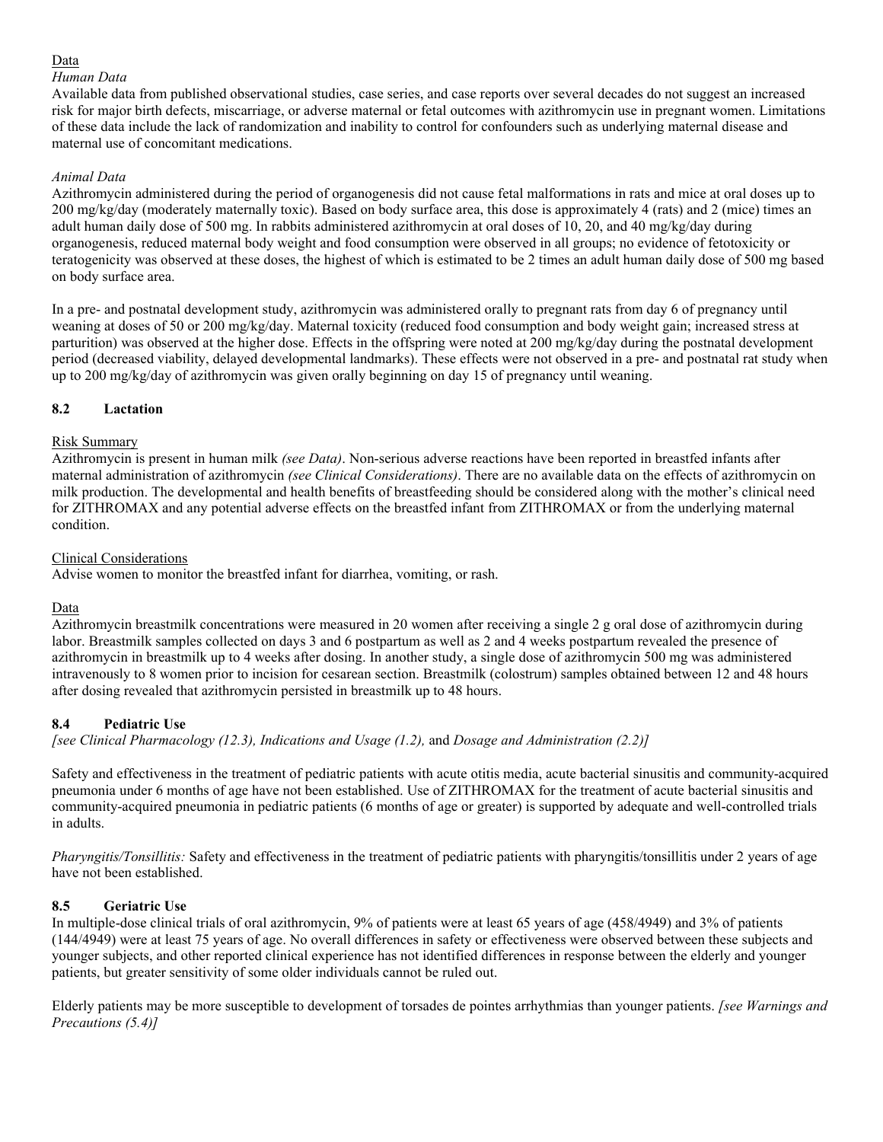# Data

### *Human Data*

Available data from published observational studies, case series, and case reports over several decades do not suggest an increased risk for major birth defects, miscarriage, or adverse maternal or fetal outcomes with azithromycin use in pregnant women. Limitations of these data include the lack of randomization and inability to control for confounders such as underlying maternal disease and maternal use of concomitant medications.

## *Animal Data*

Azithromycin administered during the period of organogenesis did not cause fetal malformations in rats and mice at oral doses up to 200 mg/kg/day (moderately maternally toxic). Based on body surface area, this dose is approximately 4 (rats) and 2 (mice) times an adult human daily dose of 500 mg. In rabbits administered azithromycin at oral doses of 10, 20, and 40 mg/kg/day during organogenesis, reduced maternal body weight and food consumption were observed in all groups; no evidence of fetotoxicity or teratogenicity was observed at these doses, the highest of which is estimated to be 2 times an adult human daily dose of 500 mg based on body surface area.

In a pre- and postnatal development study, azithromycin was administered orally to pregnant rats from day 6 of pregnancy until weaning at doses of 50 or 200 mg/kg/day. Maternal toxicity (reduced food consumption and body weight gain; increased stress at parturition) was observed at the higher dose. Effects in the offspring were noted at 200 mg/kg/day during the postnatal development period (decreased viability, delayed developmental landmarks). These effects were not observed in a pre- and postnatal rat study when up to 200 mg/kg/day of azithromycin was given orally beginning on day 15 of pregnancy until weaning.

# **8.2 Lactation**

# Risk Summary

Azithromycin is present in human milk *(see Data)*. Non-serious adverse reactions have been reported in breastfed infants after maternal administration of azithromycin *(see Clinical Considerations)*. There are no available data on the effects of azithromycin on milk production. The developmental and health benefits of breastfeeding should be considered along with the mother's clinical need for ZITHROMAX and any potential adverse effects on the breastfed infant from ZITHROMAX or from the underlying maternal condition.

# Clinical Considerations

Advise women to monitor the breastfed infant for diarrhea, vomiting, or rash.

# Data

Azithromycin breastmilk concentrations were measured in 20 women after receiving a single 2 g oral dose of azithromycin during labor. Breastmilk samples collected on days 3 and 6 postpartum as well as 2 and 4 weeks postpartum revealed the presence of azithromycin in breastmilk up to 4 weeks after dosing. In another study, a single dose of azithromycin 500 mg was administered intravenously to 8 women prior to incision for cesarean section. Breastmilk (colostrum) samples obtained between 12 and 48 hours after dosing revealed that azithromycin persisted in breastmilk up to 48 hours.

# **8.4 Pediatric Use**

*[see Clinical Pharmacology (12.3), Indications and Usage (1.2),* and *Dosage and Administration (2.2)]*

Safety and effectiveness in the treatment of pediatric patients with acute otitis media, acute bacterial sinusitis and community-acquired pneumonia under 6 months of age have not been established. Use of ZITHROMAX for the treatment of acute bacterial sinusitis and community-acquired pneumonia in pediatric patients (6 months of age or greater) is supported by adequate and well-controlled trials in adults.

*Pharyngitis/Tonsillitis:* Safety and effectiveness in the treatment of pediatric patients with pharyngitis/tonsillitis under 2 years of age have not been established.

# **8.5 Geriatric Use**

In multiple-dose clinical trials of oral azithromycin, 9% of patients were at least 65 years of age (458/4949) and 3% of patients (144/4949) were at least 75 years of age. No overall differences in safety or effectiveness were observed between these subjects and younger subjects, and other reported clinical experience has not identified differences in response between the elderly and younger patients, but greater sensitivity of some older individuals cannot be ruled out.

Elderly patients may be more susceptible to development of torsades de pointes arrhythmias than younger patients. *[see Warnings and Precautions (5.4)]*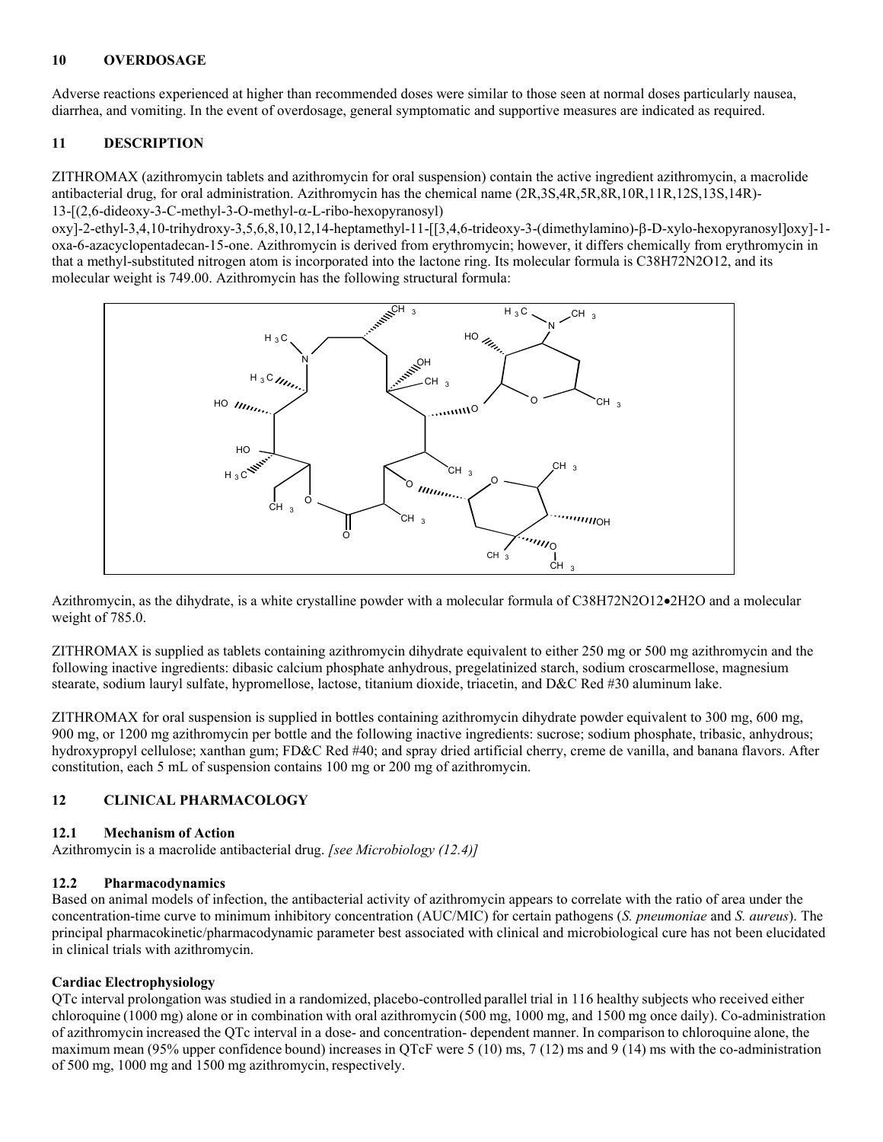### **10 OVERDOSAGE**

Adverse reactions experienced at higher than recommended doses were similar to those seen at normal doses particularly nausea, diarrhea, and vomiting. In the event of overdosage, general symptomatic and supportive measures are indicated as required.

## **11 DESCRIPTION**

ZITHROMAX (azithromycin tablets and azithromycin for oral suspension) contain the active ingredient azithromycin, a macrolide antibacterial drug, for oral administration. Azithromycin has the chemical name (2R,3S,4R,5R,8R,10R,11R,12S,13S,14R)-  $13-[2,6-dideoxy-3-C-methyl-3-O-methyl-\alpha-L-ribo-hexopy ranosyl)$ 

 $oxy$ ]-2-ethyl-3,4,10-trihydroxy-3,5,6,8,10,12,14-heptamethyl-11-[[3,4,6-trideoxy-3-(dimethylamino)- $\beta$ -D-xylo-hexopyranosyl]oxy]-1oxa-6-azacyclopentadecan-15-one. Azithromycin is derived from erythromycin; however, it differs chemically from erythromycin in that a methyl-substituted nitrogen atom is incorporated into the lactone ring. Its molecular formula is C38H72N2O12, and its molecular weight is 749.00. Azithromycin has the following structural formula:



Azithromycin, as the dihydrate, is a white crystalline powder with a molecular formula of C38H72N2O12•2H2O and a molecular weight of 785.0.

ZITHROMAX is supplied as tablets containing azithromycin dihydrate equivalent to either 250 mg or 500 mg azithromycin and the following inactive ingredients: dibasic calcium phosphate anhydrous, pregelatinized starch, sodium croscarmellose, magnesium stearate, sodium lauryl sulfate, hypromellose, lactose, titanium dioxide, triacetin, and D&C Red #30 aluminum lake.

ZITHROMAX for oral suspension is supplied in bottles containing azithromycin dihydrate powder equivalent to 300 mg, 600 mg, 900 mg, or 1200 mg azithromycin per bottle and the following inactive ingredients: sucrose; sodium phosphate, tribasic, anhydrous; hydroxypropyl cellulose; xanthan gum; FD&C Red #40; and spray dried artificial cherry, creme de vanilla, and banana flavors. After constitution, each 5 mL of suspension contains 100 mg or 200 mg of azithromycin.

### **12 CLINICAL PHARMACOLOGY**

### **12.1 Mechanism of Action**

Azithromycin is a macrolide antibacterial drug. *[see Microbiology (12.4)]* 

### **12.2 Pharmacodynamics**

Based on animal models of infection, the antibacterial activity of azithromycin appears to correlate with the ratio of area under the concentration-time curve to minimum inhibitory concentration (AUC/MIC) for certain pathogens (*S. pneumoniae* and *S. aureus*). The principal pharmacokinetic/pharmacodynamic parameter best associated with clinical and microbiological cure has not been elucidated in clinical trials with azithromycin.

### **Cardiac Electrophysiology**

QTc interval prolongation was studied in a randomized, placebo-controlled parallel trial in 116 healthy subjects who received either chloroquine (1000 mg) alone or in combination with oral azithromycin (500 mg, 1000 mg, and 1500 mg once daily). Co-administration of azithromycin increased the QTc interval in a dose- and concentration- dependent manner. In comparison to chloroquine alone, the maximum mean (95% upper confidence bound) increases in QTcF were 5 (10) ms, 7 (12) ms and 9 (14) ms with the co-administration of 500 mg, 1000 mg and 1500 mg azithromycin, respectively.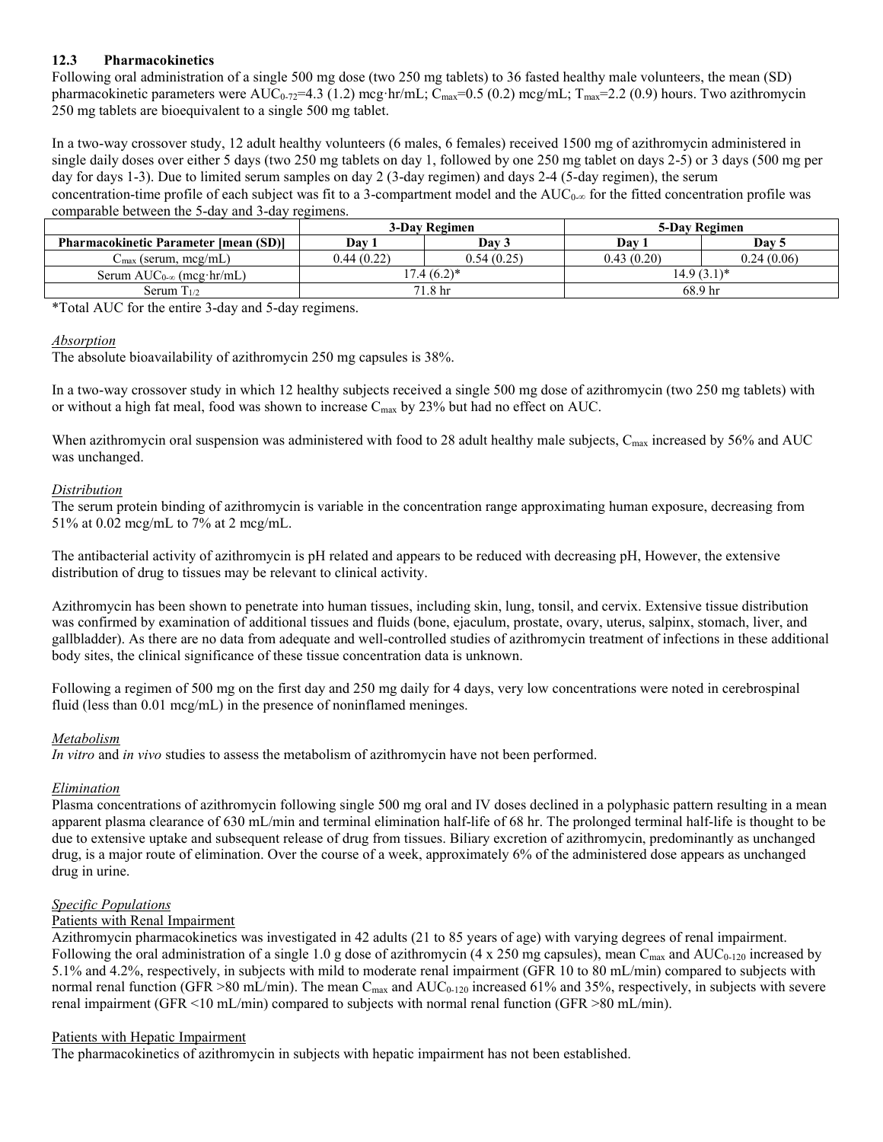# **12.3 Pharmacokinetics**

Following oral administration of a single 500 mg dose (two 250 mg tablets) to 36 fasted healthy male volunteers, the mean (SD) pharmacokinetic parameters were AUC<sub>0-72</sub>=4.3 (1.2) mcg·hr/mL; C<sub>max</sub>=0.5 (0.2) mcg/mL; T<sub>max</sub>=2.2 (0.9) hours. Two azithromycin 250 mg tablets are bioequivalent to a single 500 mg tablet.

In a two-way crossover study, 12 adult healthy volunteers (6 males, 6 females) received 1500 mg of azithromycin administered in single daily doses over either 5 days (two 250 mg tablets on day 1, followed by one 250 mg tablet on days 2-5) or 3 days (500 mg per day for days 1-3). Due to limited serum samples on day 2 (3-day regimen) and days 2-4 (5-day regimen), the serum concentration-time profile of each subject was fit to a 3-compartment model and the  $AUC_{0-\infty}$  for the fitted concentration profile was comparable between the 5-day and 3-day regimens.

|                                              | 3-Day Regimen |            | 5-Day Regimen      |            |
|----------------------------------------------|---------------|------------|--------------------|------------|
| <b>Pharmacokinetic Parameter [mean (SD)]</b> | Dav           | Dav 3      | Dav                | Dav 5      |
| $C_{\text{max}}$ (serum, mcg/mL)             | 0.44(0.22)    | 0.54(0.25) | 0.43(0.20)         | 0.24(0.06) |
| Serum $AUC_{0-\infty}$ (mcg·hr/mL)           | $17.4(6.2)^*$ |            | $14.9(3.1)^*$      |            |
| Serum $T_{1/2}$                              | 71.8 hr       |            | 68.9 <sub>hr</sub> |            |

\*Total AUC for the entire 3-day and 5-day regimens.

### *Absorption*

The absolute bioavailability of azithromycin 250 mg capsules is 38%.

In a two-way crossover study in which 12 healthy subjects received a single 500 mg dose of azithromycin (two 250 mg tablets) with or without a high fat meal, food was shown to increase  $C_{\text{max}}$  by 23% but had no effect on AUC.

When azithromycin oral suspension was administered with food to 28 adult healthy male subjects, C<sub>max</sub> increased by 56% and AUC was unchanged.

# *Distribution*

The serum protein binding of azithromycin is variable in the concentration range approximating human exposure, decreasing from 51% at 0.02 mcg/mL to 7% at 2 mcg/mL.

The antibacterial activity of azithromycin is pH related and appears to be reduced with decreasing pH, However, the extensive distribution of drug to tissues may be relevant to clinical activity.

Azithromycin has been shown to penetrate into human tissues, including skin, lung, tonsil, and cervix. Extensive tissue distribution was confirmed by examination of additional tissues and fluids (bone, ejaculum, prostate, ovary, uterus, salpinx, stomach, liver, and gallbladder). As there are no data from adequate and well-controlled studies of azithromycin treatment of infections in these additional body sites, the clinical significance of these tissue concentration data is unknown.

Following a regimen of 500 mg on the first day and 250 mg daily for 4 days, very low concentrations were noted in cerebrospinal fluid (less than 0.01 mcg/mL) in the presence of noninflamed meninges.

# *Metabolism*

*In vitro* and *in vivo* studies to assess the metabolism of azithromycin have not been performed.

# *Elimination*

Plasma concentrations of azithromycin following single 500 mg oral and IV doses declined in a polyphasic pattern resulting in a mean apparent plasma clearance of 630 mL/min and terminal elimination half-life of 68 hr. The prolonged terminal half-life is thought to be due to extensive uptake and subsequent release of drug from tissues. Biliary excretion of azithromycin, predominantly as unchanged drug, is a major route of elimination. Over the course of a week, approximately 6% of the administered dose appears as unchanged drug in urine.

# *Specific Populations*

### Patients with Renal Impairment

Azithromycin pharmacokinetics was investigated in 42 adults (21 to 85 years of age) with varying degrees of renal impairment. Following the oral administration of a single 1.0 g dose of azithromycin (4 x 250 mg capsules), mean C<sub>max</sub> and AUC<sub>0-120</sub> increased by 5.1% and 4.2%, respectively, in subjects with mild to moderate renal impairment (GFR 10 to 80 mL/min) compared to subjects with normal renal function (GFR  $>80$  mL/min). The mean C<sub>max</sub> and AUC<sub>0-120</sub> increased 61% and 35%, respectively, in subjects with severe renal impairment (GFR <10 mL/min) compared to subjects with normal renal function (GFR >80 mL/min).

### Patients with Hepatic Impairment

The pharmacokinetics of azithromycin in subjects with hepatic impairment has not been established.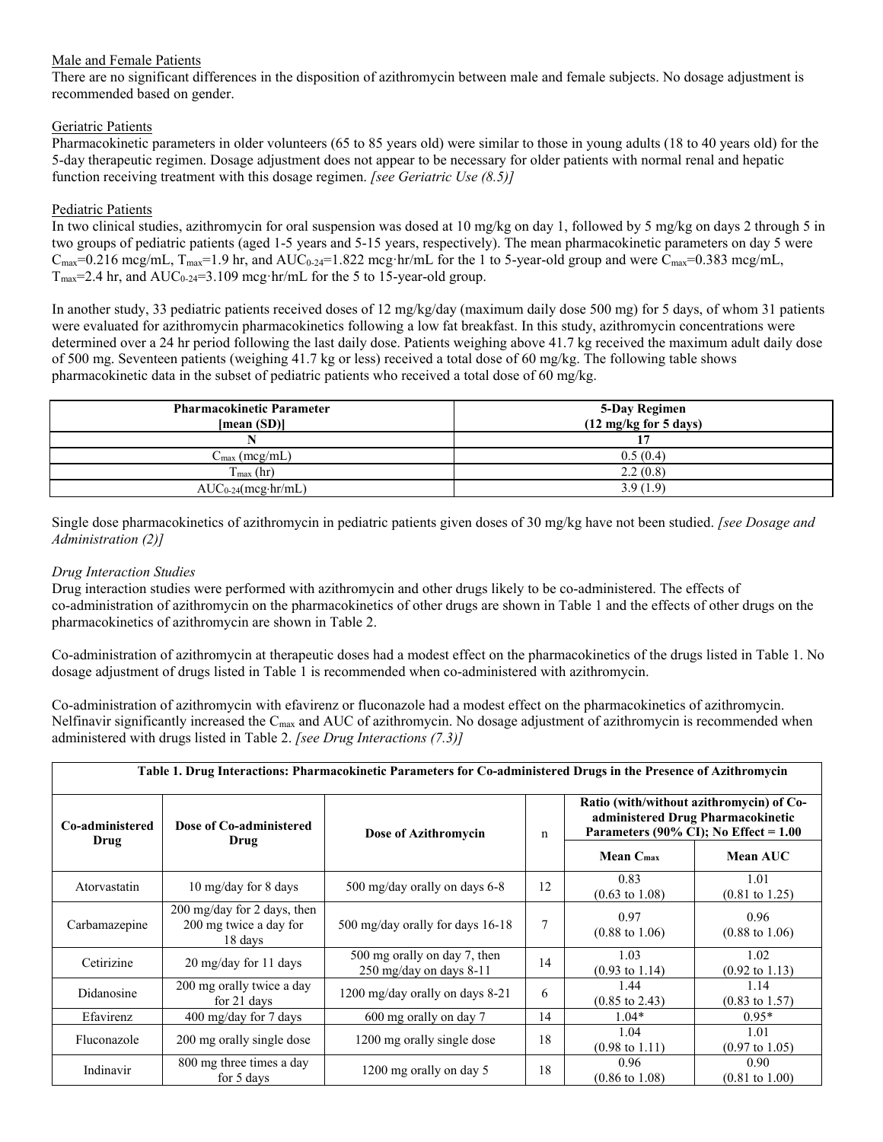# Male and Female Patients

There are no significant differences in the disposition of azithromycin between male and female subjects. No dosage adjustment is recommended based on gender.

# Geriatric Patients

Pharmacokinetic parameters in older volunteers (65 to 85 years old) were similar to those in young adults (18 to 40 years old) for the 5-day therapeutic regimen. Dosage adjustment does not appear to be necessary for older patients with normal renal and hepatic function receiving treatment with this dosage regimen. *[see Geriatric Use (8.5)]*

# Pediatric Patients

In two clinical studies, azithromycin for oral suspension was dosed at 10 mg/kg on day 1, followed by 5 mg/kg on days 2 through 5 in two groups of pediatric patients (aged 1-5 years and 5-15 years, respectively). The mean pharmacokinetic parameters on day 5 were  $C_{\text{max}}=0.216$  mcg/mL,  $T_{\text{max}}=1.9$  hr, and  $AUC_{0.24}=1.822$  mcg·hr/mL for the 1 to 5-year-old group and were  $C_{\text{max}}=0.383$  mcg/mL,  $T_{\text{max}}$ =2.4 hr, and  $\text{AUC}_{0.24}$ =3.109 mcg·hr/mL for the 5 to 15-year-old group.

In another study, 33 pediatric patients received doses of 12 mg/kg/day (maximum daily dose 500 mg) for 5 days, of whom 31 patients were evaluated for azithromycin pharmacokinetics following a low fat breakfast. In this study, azithromycin concentrations were determined over a 24 hr period following the last daily dose. Patients weighing above 41.7 kg received the maximum adult daily dose of 500 mg. Seventeen patients (weighing 41.7 kg or less) received a total dose of 60 mg/kg. The following table shows pharmacokinetic data in the subset of pediatric patients who received a total dose of 60 mg/kg.

| <b>Pharmacokinetic Parameter</b><br>[mean (SD)] | 5-Day Regimen<br>$(12 \text{ mg/kg}$ for 5 days) |
|-------------------------------------------------|--------------------------------------------------|
|                                                 |                                                  |
| $C_{\text{max}}$ (mcg/mL)                       | 0.5(0.4)                                         |
| $T_{\text{max}}$ (hr)                           | 2.2(0.8)                                         |
| $AUC_{0-24}(mcg\cdot hr/mL)$                    | 3.9(1.9)                                         |

Single dose pharmacokinetics of azithromycin in pediatric patients given doses of 30 mg/kg have not been studied. *[see Dosage and Administration (2)]*

## *Drug Interaction Studies*

Drug interaction studies were performed with azithromycin and other drugs likely to be co-administered. The effects of co-administration of azithromycin on the pharmacokinetics of other drugs are shown in Table 1 and the effects of other drugs on the pharmacokinetics of azithromycin are shown in Table 2.

Co-administration of azithromycin at therapeutic doses had a modest effect on the pharmacokinetics of the drugs listed in Table 1. No dosage adjustment of drugs listed in Table 1 is recommended when co-administered with azithromycin.

Co-administration of azithromycin with efavirenz or fluconazole had a modest effect on the pharmacokinetics of azithromycin. Nelfinavir significantly increased the C<sub>max</sub> and AUC of azithromycin. No dosage adjustment of azithromycin is recommended when administered with drugs listed in Table 2. *[see Drug Interactions (7.3)]*

|                 | Table 1. Drug Interactions: Pharmacokinetic Parameters for Co-administered Drugs in the Presence of Azithromycin |                                                         |    |                                                                                                                          |                                   |
|-----------------|------------------------------------------------------------------------------------------------------------------|---------------------------------------------------------|----|--------------------------------------------------------------------------------------------------------------------------|-----------------------------------|
| Co-administered | Dose of Co-administered                                                                                          | Dose of Azithromycin                                    | n  | Ratio (with/without azithromycin) of Co-<br>administered Drug Pharmacokinetic<br>Parameters (90% CI); No Effect = $1.00$ |                                   |
| Drug            | Drug                                                                                                             |                                                         |    | Mean C <sub>max</sub>                                                                                                    | Mean AUC                          |
| Atorvastatin    | 10 mg/day for 8 days                                                                                             | 500 mg/day orally on days 6-8                           | 12 | 0.83<br>$(0.63 \text{ to } 1.08)$                                                                                        | 1.01<br>$(0.81 \text{ to } 1.25)$ |
| Carbamazepine   | $200 \text{ mg/day}$ for 2 days, then<br>200 mg twice a day for<br>18 days                                       | 500 mg/day orally for days 16-18                        |    | 0.97<br>$(0.88 \text{ to } 1.06)$                                                                                        | 0.96<br>$(0.88 \text{ to } 1.06)$ |
| Cetirizine      | $20 \frac{\text{mg}}{\text{day}}$ for 11 days                                                                    | 500 mg orally on day 7, then<br>250 mg/day on days 8-11 | 14 | 1.03<br>$(0.93 \text{ to } 1.14)$                                                                                        | 1.02<br>$(0.92 \text{ to } 1.13)$ |
| Didanosine      | 200 mg orally twice a day<br>for 21 days                                                                         | 1200 mg/day orally on days 8-21                         | 6  | 1.44<br>$(0.85 \text{ to } 2.43)$                                                                                        | 1.14<br>$(0.83 \text{ to } 1.57)$ |
| Efavirenz       | $400 \text{ mg/day}$ for 7 days                                                                                  | 600 mg orally on day 7                                  | 14 | $1.04*$                                                                                                                  | $0.95*$                           |
| Fluconazole     | 200 mg orally single dose                                                                                        | 1200 mg orally single dose                              | 18 | 1.04<br>$(0.98 \text{ to } 1.11)$                                                                                        | 1.01<br>$(0.97 \text{ to } 1.05)$ |
| Indinavir       | 800 mg three times a day<br>for 5 days                                                                           | 1200 mg orally on day 5                                 | 18 | 0.96<br>$(0.86 \text{ to } 1.08)$                                                                                        | 0.90<br>$(0.81 \text{ to } 1.00)$ |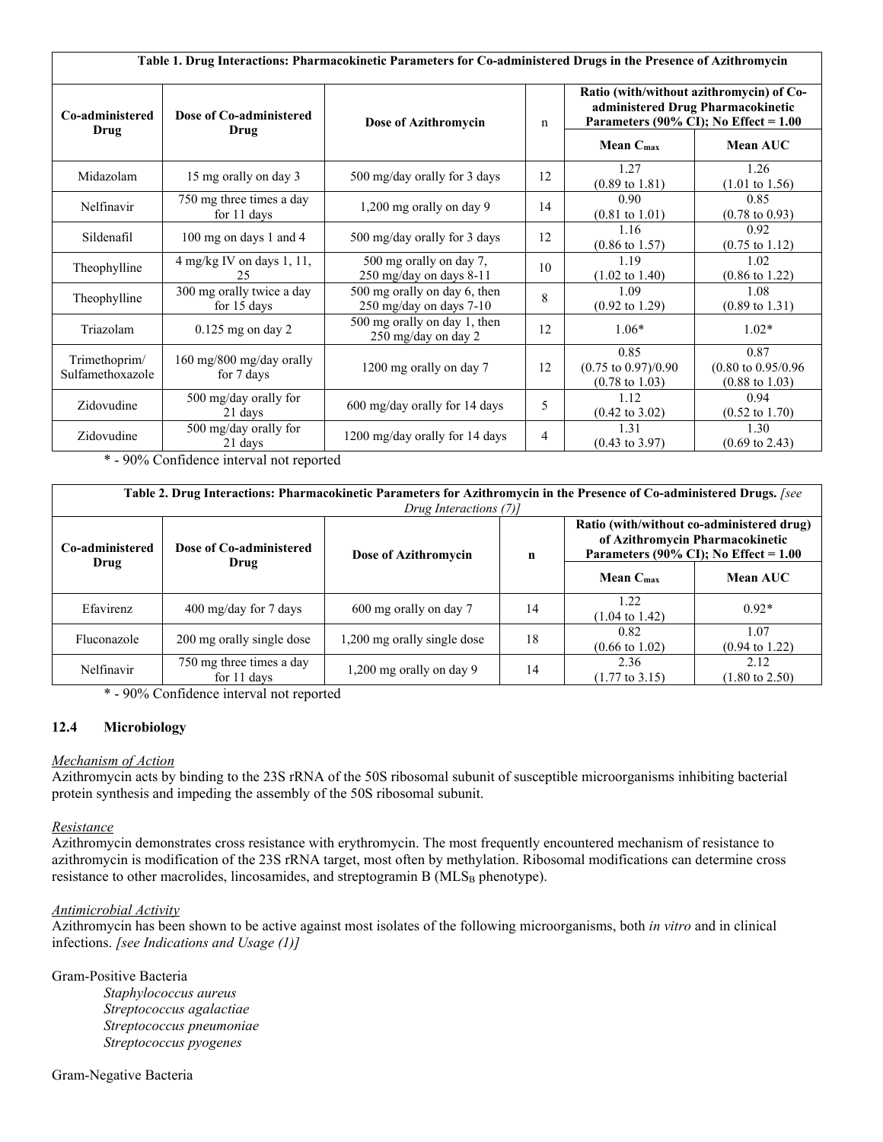| Table 1. Drug Interactions: Pharmacokinetic Parameters for Co-administered Drugs in the Presence of Azithromycin |                                          |                                                         |             |                                                                                                                          |                                                                     |
|------------------------------------------------------------------------------------------------------------------|------------------------------------------|---------------------------------------------------------|-------------|--------------------------------------------------------------------------------------------------------------------------|---------------------------------------------------------------------|
| Co-administered<br>Drug                                                                                          | Dose of Co-administered                  | Dose of Azithromycin                                    | $\mathbf n$ | Ratio (with/without azithromycin) of Co-<br>administered Drug Pharmacokinetic<br>Parameters (90% CI); No Effect = $1.00$ |                                                                     |
|                                                                                                                  | Drug                                     |                                                         |             | Mean C <sub>max</sub>                                                                                                    | <b>Mean AUC</b>                                                     |
| Midazolam                                                                                                        | 15 mg orally on day 3                    | 500 mg/day orally for 3 days                            | 12          | 1.27<br>$(0.89 \text{ to } 1.81)$                                                                                        | 1.26<br>$(1.01 \text{ to } 1.56)$                                   |
| Nelfinavir                                                                                                       | 750 mg three times a day<br>for 11 days  | 1,200 mg orally on day 9                                | 14          | 0.90<br>$(0.81 \text{ to } 1.01)$                                                                                        | 0.85<br>$(0.78 \text{ to } 0.93)$                                   |
| Sildenafil                                                                                                       | 100 mg on days 1 and 4                   | 500 mg/day orally for 3 days                            | 12          | 1.16<br>$(0.86 \text{ to } 1.57)$                                                                                        | 0.92<br>$(0.75 \text{ to } 1.12)$                                   |
| Theophylline                                                                                                     | $4$ mg/kg IV on days 1, 11,<br>25        | 500 mg orally on day 7,<br>250 mg/day on days 8-11      | 10          | 1.19<br>$(1.02 \text{ to } 1.40)$                                                                                        | 1.02<br>$(0.86 \text{ to } 1.22)$                                   |
| Theophylline                                                                                                     | 300 mg orally twice a day<br>for 15 days | 500 mg orally on day 6, then<br>250 mg/day on days 7-10 | 8           | 1.09<br>$(0.92 \text{ to } 1.29)$                                                                                        | 1.08<br>$(0.89 \text{ to } 1.31)$                                   |
| Triazolam                                                                                                        | $0.125$ mg on day $2$                    | 500 mg orally on day 1, then<br>250 mg/day on day 2     | 12          | $1.06*$                                                                                                                  | $1.02*$                                                             |
| Trimethoprim/<br>Sulfamethoxazole                                                                                | 160 mg/800 mg/day orally<br>for 7 days   | 1200 mg orally on day 7                                 | 12          | 0.85<br>$(0.75 \text{ to } 0.97)/0.90$<br>$(0.78 \text{ to } 1.03)$                                                      | 0.87<br>$(0.80 \text{ to } 0.95/0.96)$<br>$(0.88 \text{ to } 1.03)$ |
| Zidovudine                                                                                                       | 500 mg/day orally for<br>21 days         | 600 mg/day orally for 14 days                           | 5           | 1.12<br>$(0.42 \text{ to } 3.02)$                                                                                        | 0.94<br>$(0.52 \text{ to } 1.70)$                                   |
| Zidovudine                                                                                                       | 500 mg/day orally for<br>21 days         | 1200 mg/day orally for 14 days                          | 4           | 1.31<br>$(0.43 \text{ to } 3.97)$                                                                                        | 1.30<br>$(0.69 \text{ to } 2.43)$                                   |

\* - 90% Confidence interval not reported

| Table 2. Drug Interactions: Pharmacokinetic Parameters for Azithromycin in the Presence of Co-administered Drugs. [see<br>Drug Interactions (7)] |                                         |                             |             |                                   |                                                                                      |
|--------------------------------------------------------------------------------------------------------------------------------------------------|-----------------------------------------|-----------------------------|-------------|-----------------------------------|--------------------------------------------------------------------------------------|
| Co-administered                                                                                                                                  | Dose of Co-administered                 | Dose of Azithromycin        | $\mathbf n$ | of Azithromycin Pharmacokinetic   | Ratio (with/without co-administered drug)<br>Parameters (90% CI); No Effect = $1.00$ |
| Drug                                                                                                                                             | Drug                                    |                             |             | Mean C <sub>max</sub>             | <b>Mean AUC</b>                                                                      |
| Efavirenz                                                                                                                                        | $400 \text{ mg/day}$ for 7 days         | 600 mg orally on day 7      | 14          | 1.22<br>$(1.04 \text{ to } 1.42)$ | $0.92*$                                                                              |
| Fluconazole                                                                                                                                      | 200 mg orally single dose               | 1,200 mg orally single dose | 18          | 0.82<br>$(0.66 \text{ to } 1.02)$ | 1.07<br>$(0.94 \text{ to } 1.22)$                                                    |
| Nelfinavir                                                                                                                                       | 750 mg three times a day<br>for 11 days | 1,200 mg orally on day 9    | 14          | 2.36<br>$(1.77 \text{ to } 3.15)$ | 2.12<br>$(1.80 \text{ to } 2.50)$                                                    |

\* - 90% Confidence interval not reported

### **12.4 Microbiology**

### *Mechanism of Action*

Azithromycin acts by binding to the 23S rRNA of the 50S ribosomal subunit of susceptible microorganisms inhibiting bacterial protein synthesis and impeding the assembly of the 50S ribosomal subunit.

### *Resistance*

Azithromycin demonstrates cross resistance with erythromycin. The most frequently encountered mechanism of resistance to azithromycin is modification of the 23S rRNA target, most often by methylation. Ribosomal modifications can determine cross resistance to other macrolides, lincosamides, and streptogramin B (MLS<sub>B</sub> phenotype).

#### *Antimicrobial Activity*

Azithromycin has been shown to be active against most isolates of the following microorganisms, both *in vitro* and in clinical infections. *[see Indications and Usage (1)]*

Gram-Positive Bacteria *Staphylococcus aureus Streptococcus agalactiae Streptococcus pneumoniae Streptococcus pyogenes*

#### Gram-Negative Bacteria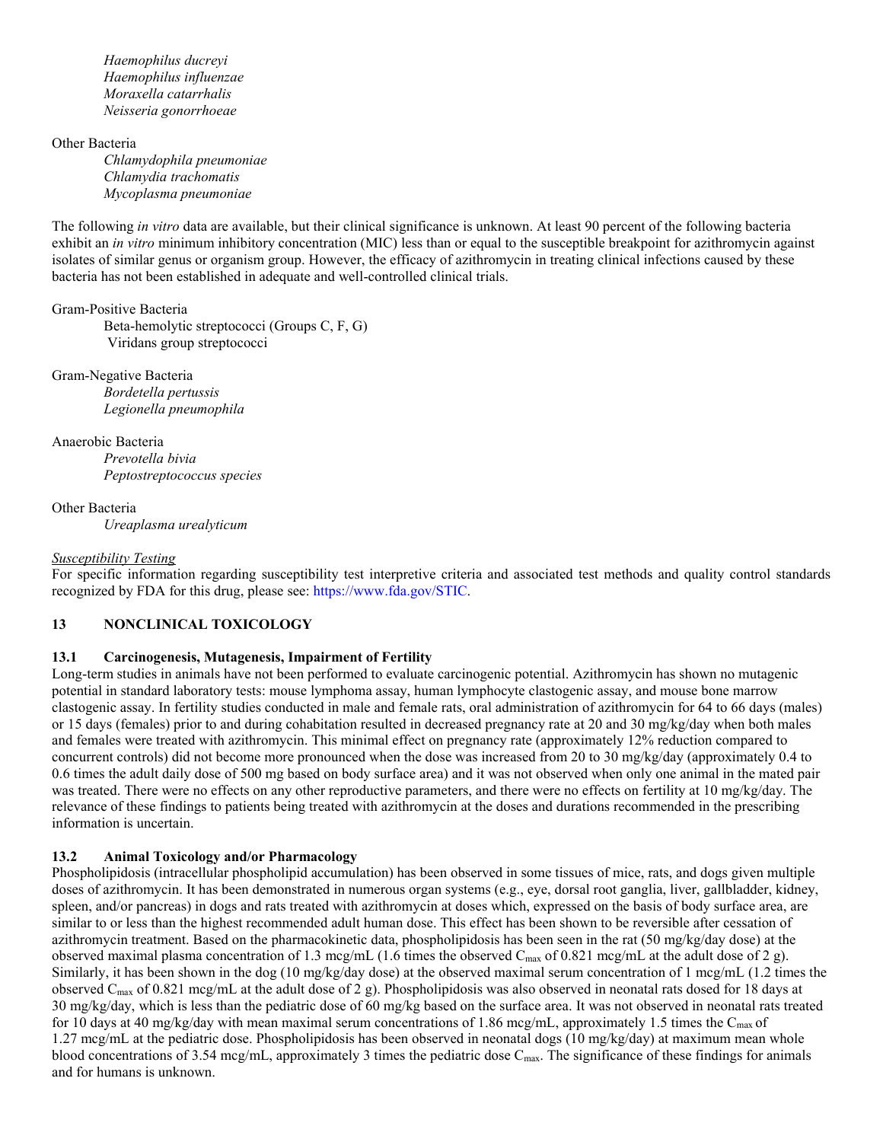*Haemophilus ducreyi Haemophilus influenzae Moraxella catarrhalis Neisseria gonorrhoeae*

Other Bacteria *Chlamydophila pneumoniae Chlamydia trachomatis Mycoplasma pneumoniae*

The following *in vitro* data are available, but their clinical significance is unknown. At least 90 percent of the following bacteria exhibit an *in vitro* minimum inhibitory concentration (MIC) less than or equal to the susceptible breakpoint for azithromycin against isolates of similar genus or organism group. However, the efficacy of azithromycin in treating clinical infections caused by these bacteria has not been established in adequate and well-controlled clinical trials.

# Gram-Positive Bacteria

Beta-hemolytic streptococci (Groups C, F, G) Viridans group streptococci

Gram-Negative Bacteria *Bordetella pertussis Legionella pneumophila*

Anaerobic Bacteria *Prevotella bivia Peptostreptococcus species*

Other Bacteria *Ureaplasma urealyticum*

#### *Susceptibility Testing*

For specific information regarding susceptibility test interpretive criteria and associated test methods and quality control standards recognized by FDA for this drug, please see: <https://www.fda.gov/STIC>.

## **13 NONCLINICAL TOXICOLOGY**

### **13.1 Carcinogenesis, Mutagenesis, Impairment of Fertility**

Long-term studies in animals have not been performed to evaluate carcinogenic potential. Azithromycin has shown no mutagenic potential in standard laboratory tests: mouse lymphoma assay, human lymphocyte clastogenic assay, and mouse bone marrow clastogenic assay. In fertility studies conducted in male and female rats, oral administration of azithromycin for 64 to 66 days (males) or 15 days (females) prior to and during cohabitation resulted in decreased pregnancy rate at 20 and 30 mg/kg/day when both males and females were treated with azithromycin. This minimal effect on pregnancy rate (approximately 12% reduction compared to concurrent controls) did not become more pronounced when the dose was increased from 20 to 30 mg/kg/day (approximately 0.4 to 0.6 times the adult daily dose of 500 mg based on body surface area) and it was not observed when only one animal in the mated pair was treated. There were no effects on any other reproductive parameters, and there were no effects on fertility at 10 mg/kg/day. The relevance of these findings to patients being treated with azithromycin at the doses and durations recommended in the prescribing information is uncertain.

### **13.2 Animal Toxicology and/or Pharmacology**

Phospholipidosis (intracellular phospholipid accumulation) has been observed in some tissues of mice, rats, and dogs given multiple doses of azithromycin. It has been demonstrated in numerous organ systems (e.g., eye, dorsal root ganglia, liver, gallbladder, kidney, spleen, and/or pancreas) in dogs and rats treated with azithromycin at doses which, expressed on the basis of body surface area, are similar to or less than the highest recommended adult human dose. This effect has been shown to be reversible after cessation of azithromycin treatment. Based on the pharmacokinetic data, phospholipidosis has been seen in the rat (50 mg/kg/day dose) at the observed maximal plasma concentration of 1.3 mcg/mL (1.6 times the observed  $C_{\text{max}}$  of 0.821 mcg/mL at the adult dose of 2 g). Similarly, it has been shown in the dog (10 mg/kg/day dose) at the observed maximal serum concentration of 1 mcg/mL (1.2 times the observed C<sub>max</sub> of 0.821 mcg/mL at the adult dose of 2 g). Phospholipidosis was also observed in neonatal rats dosed for 18 days at 30 mg/kg/day, which is less than the pediatric dose of 60 mg/kg based on the surface area. It was not observed in neonatal rats treated for 10 days at 40 mg/kg/day with mean maximal serum concentrations of 1.86 mcg/mL, approximately 1.5 times the C<sub>max</sub> of 1.27 mcg/mL at the pediatric dose. Phospholipidosis has been observed in neonatal dogs (10 mg/kg/day) at maximum mean whole blood concentrations of 3.54 mcg/mL, approximately 3 times the pediatric dose  $C_{\text{max}}$ . The significance of these findings for animals and for humans is unknown.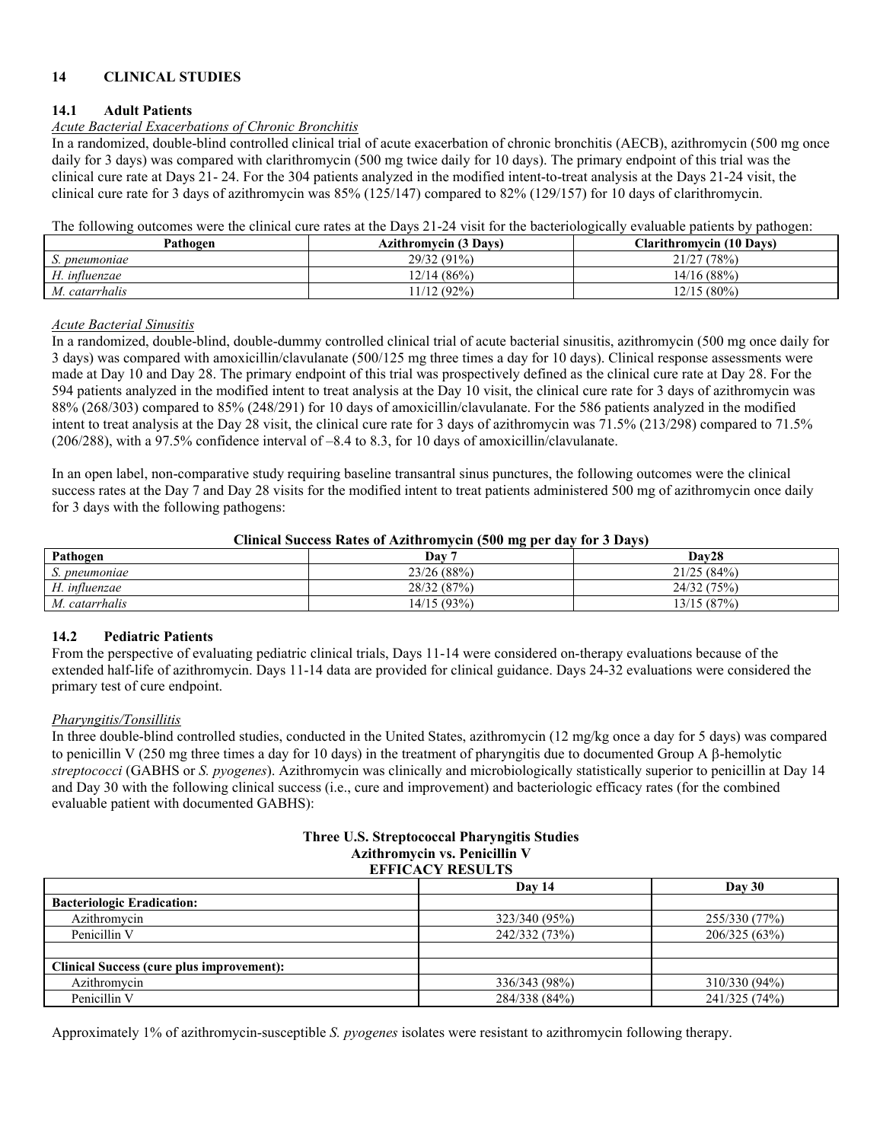# **14 CLINICAL STUDIES**

#### **14.1 Adult Patients**

# *Acute Bacterial Exacerbations of Chronic Bronchitis*

In a randomized, double-blind controlled clinical trial of acute exacerbation of chronic bronchitis (AECB), azithromycin (500 mg once daily for 3 days) was compared with clarithromycin (500 mg twice daily for 10 days). The primary endpoint of this trial was the clinical cure rate at Days 21- 24. For the 304 patients analyzed in the modified intent-to-treat analysis at the Days 21-24 visit, the clinical cure rate for 3 days of azithromycin was 85% (125/147) compared to 82% (129/157) for 10 days of clarithromycin.

The following outcomes were the clinical cure rates at the Days 21-24 visit for the bacteriologically evaluable patients by pathogen:

| Pathogen       | <b>Azithromycin (3 Days)</b> | <b>Clarithromycin</b> (10 Days) |
|----------------|------------------------------|---------------------------------|
| pneumoniae     | 29/32 (91%)                  | 21/27 (78%)                     |
| H. influenzae  | 2/14(86%)                    | 14/16 (88%)                     |
| M. catarrhalis | 1/12(92%)                    | $12/15(80\%)$                   |

#### *Acute Bacterial Sinusitis*

In a randomized, double-blind, double-dummy controlled clinical trial of acute bacterial sinusitis, azithromycin (500 mg once daily for 3 days) was compared with amoxicillin/clavulanate (500/125 mg three times a day for 10 days). Clinical response assessments were made at Day 10 and Day 28. The primary endpoint of this trial was prospectively defined as the clinical cure rate at Day 28. For the 594 patients analyzed in the modified intent to treat analysis at the Day 10 visit, the clinical cure rate for 3 days of azithromycin was 88% (268/303) compared to 85% (248/291) for 10 days of amoxicillin/clavulanate. For the 586 patients analyzed in the modified intent to treat analysis at the Day 28 visit, the clinical cure rate for 3 days of azithromycin was 71.5% (213/298) compared to 71.5% (206/288), with a 97.5% confidence interval of –8.4 to 8.3, for 10 days of amoxicillin/clavulanate.

In an open label, non-comparative study requiring baseline transantral sinus punctures, the following outcomes were the clinical success rates at the Day 7 and Day 28 visits for the modified intent to treat patients administered 500 mg of azithromycin once daily for 3 days with the following pathogens:

#### **Clinical Success Rates of Azithromycin (500 mg per day for 3 Days)**

| Pathogen            | Dav         | Dav28           |
|---------------------|-------------|-----------------|
| S. pneumoniae       | 23/26 (88%) | 21/25 (84%)     |
| H. influenzae       | 28/32 (87%) | (75%<br>24/32   |
| . catarrhalis<br>М. | (4/15 (93%) | 13/15<br>5(87%) |

### **14.2 Pediatric Patients**

From the perspective of evaluating pediatric clinical trials, Days 11-14 were considered on-therapy evaluations because of the extended half-life of azithromycin. Days 11-14 data are provided for clinical guidance. Days 24-32 evaluations were considered the primary test of cure endpoint.

#### *Pharyngitis/Tonsillitis*

In three double-blind controlled studies, conducted in the United States, azithromycin (12 mg/kg once a day for 5 days) was compared to penicillin V (250 mg three times a day for 10 days) in the treatment of pharyngitis due to documented Group A  $\beta$ -hemolytic *streptococci* (GABHS or *S. pyogenes*). Azithromycin was clinically and microbiologically statistically superior to penicillin at Day 14 and Day 30 with the following clinical success (i.e., cure and improvement) and bacteriologic efficacy rates (for the combined evaluable patient with documented GABHS):

#### **Three U.S. Streptococcal Pharyngitis Studies Azithromycin vs. Penicillin V EFFICACY RESULTS**

|                                                  | Day 14        | Day 30        |  |  |
|--------------------------------------------------|---------------|---------------|--|--|
| <b>Bacteriologic Eradication:</b>                |               |               |  |  |
| Azithromycin                                     | 323/340 (95%) | 255/330 (77%) |  |  |
| Penicillin V                                     | 242/332 (73%) | 206/325 (63%) |  |  |
|                                                  |               |               |  |  |
| <b>Clinical Success (cure plus improvement):</b> |               |               |  |  |
| Azithromycin                                     | 336/343 (98%) | 310/330 (94%) |  |  |
| Penicillin V                                     | 284/338 (84%) | 241/325 (74%) |  |  |

Approximately 1% of azithromycin-susceptible *S. pyogenes* isolates were resistant to azithromycin following therapy.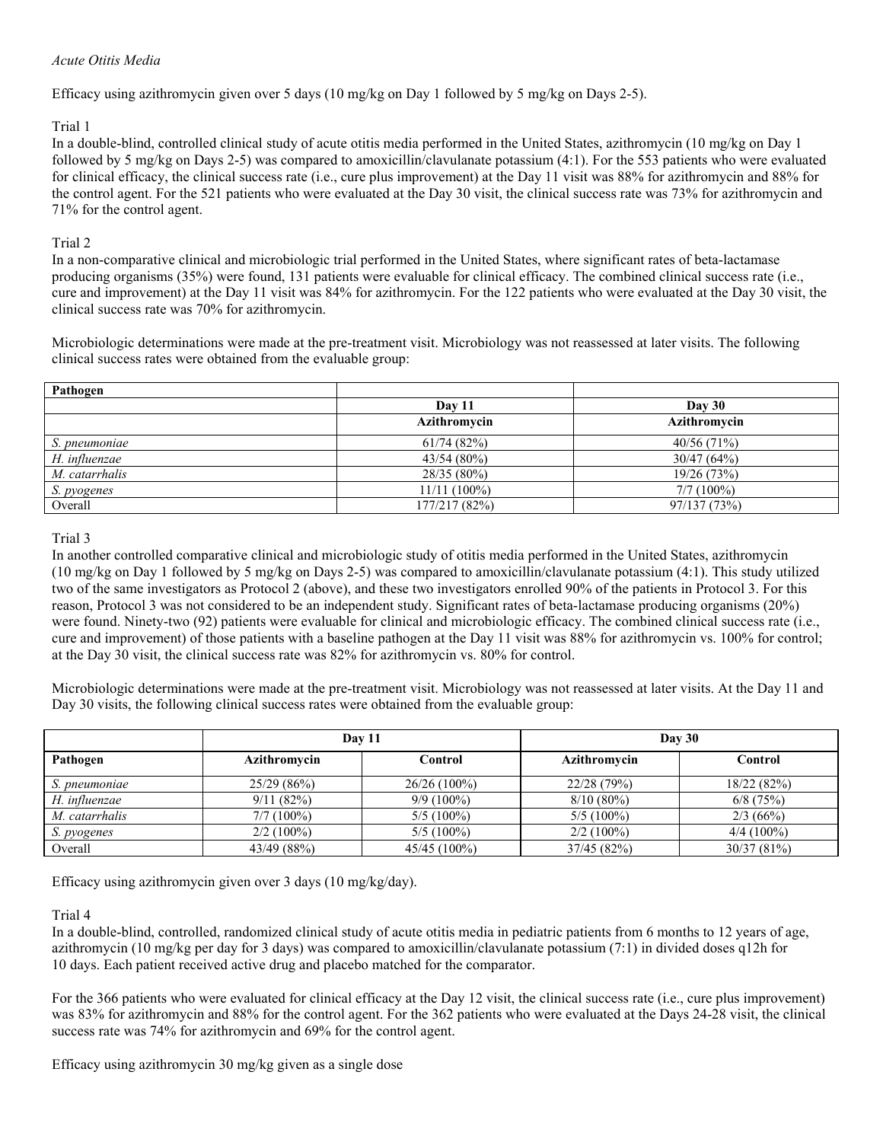### *Acute Otitis Media*

Efficacy using azithromycin given over 5 days (10 mg/kg on Day 1 followed by 5 mg/kg on Days 2-5).

### Trial 1

In a double-blind, controlled clinical study of acute otitis media performed in the United States, azithromycin (10 mg/kg on Day 1 followed by 5 mg/kg on Days 2-5) was compared to amoxicillin/clavulanate potassium (4:1). For the 553 patients who were evaluated for clinical efficacy, the clinical success rate (i.e., cure plus improvement) at the Day 11 visit was 88% for azithromycin and 88% for the control agent. For the 521 patients who were evaluated at the Day 30 visit, the clinical success rate was 73% for azithromycin and 71% for the control agent.

# Trial 2

In a non-comparative clinical and microbiologic trial performed in the United States, where significant rates of beta-lactamase producing organisms (35%) were found, 131 patients were evaluable for clinical efficacy. The combined clinical success rate (i.e., cure and improvement) at the Day 11 visit was 84% for azithromycin. For the 122 patients who were evaluated at the Day 30 visit, the clinical success rate was 70% for azithromycin.

Microbiologic determinations were made at the pre-treatment visit. Microbiology was not reassessed at later visits. The following clinical success rates were obtained from the evaluable group:

| Pathogen       |                |              |
|----------------|----------------|--------------|
|                | Day 11         | Day 30       |
|                | Azithromycin   | Azithromycin |
| S. pneumoniae  | 61/74(82%)     | 40/56(71%)   |
| H. influenzae  | 43/54(80%)     | 30/47(64%)   |
| M. catarrhalis | 28/35 (80%)    | 19/26 (73%)  |
| S. pyogenes    | $11/11(100\%)$ | $7/7(100\%)$ |
| Overall        | 177/217 (82%)  | 97/137 (73%) |

### Trial 3

In another controlled comparative clinical and microbiologic study of otitis media performed in the United States, azithromycin (10 mg/kg on Day 1 followed by 5 mg/kg on Days 2-5) was compared to amoxicillin/clavulanate potassium (4:1). This study utilized two of the same investigators as Protocol 2 (above), and these two investigators enrolled 90% of the patients in Protocol 3. For this reason, Protocol 3 was not considered to be an independent study. Significant rates of beta-lactamase producing organisms (20%) were found. Ninety-two (92) patients were evaluable for clinical and microbiologic efficacy. The combined clinical success rate (i.e., cure and improvement) of those patients with a baseline pathogen at the Day 11 visit was 88% for azithromycin vs. 100% for control; at the Day 30 visit, the clinical success rate was 82% for azithromycin vs. 80% for control.

Microbiologic determinations were made at the pre-treatment visit. Microbiology was not reassessed at later visits. At the Day 11 and Day 30 visits, the following clinical success rates were obtained from the evaluable group:

|                | <b>Day 11</b> |                | Day 30       |              |  |
|----------------|---------------|----------------|--------------|--------------|--|
| Pathogen       | Azithromycin  | Control        | Azithromycin | Control      |  |
| S. pneumoniae  | 25/29(86%)    | $26/26(100\%)$ | 22/28 (79%)  | 18/22(82%)   |  |
| H. influenzae  | 9/11(82%)     | $9/9(100\%)$   | $8/10(80\%)$ | $6/8$ (75%)  |  |
| M. catarrhalis | $7/7(100\%)$  | $5/5(100\%)$   | $5/5(100\%)$ | 2/3(66%)     |  |
| S. pyogenes    | $2/2(100\%)$  | $5/5(100\%)$   | $2/2(100\%)$ | $4/4(100\%)$ |  |
| Overall        | 43/49 (88%)   | 45/45 (100%)   | 37/45(82%)   | 30/37(81%)   |  |

Efficacy using azithromycin given over 3 days (10 mg/kg/day).

### Trial 4

In a double-blind, controlled, randomized clinical study of acute otitis media in pediatric patients from 6 months to 12 years of age, azithromycin (10 mg/kg per day for 3 days) was compared to amoxicillin/clavulanate potassium (7:1) in divided doses q12h for 10 days. Each patient received active drug and placebo matched for the comparator.

For the 366 patients who were evaluated for clinical efficacy at the Day 12 visit, the clinical success rate (i.e., cure plus improvement) was 83% for azithromycin and 88% for the control agent. For the 362 patients who were evaluated at the Days 24-28 visit, the clinical success rate was 74% for azithromycin and 69% for the control agent.

Efficacy using azithromycin 30 mg/kg given as a single dose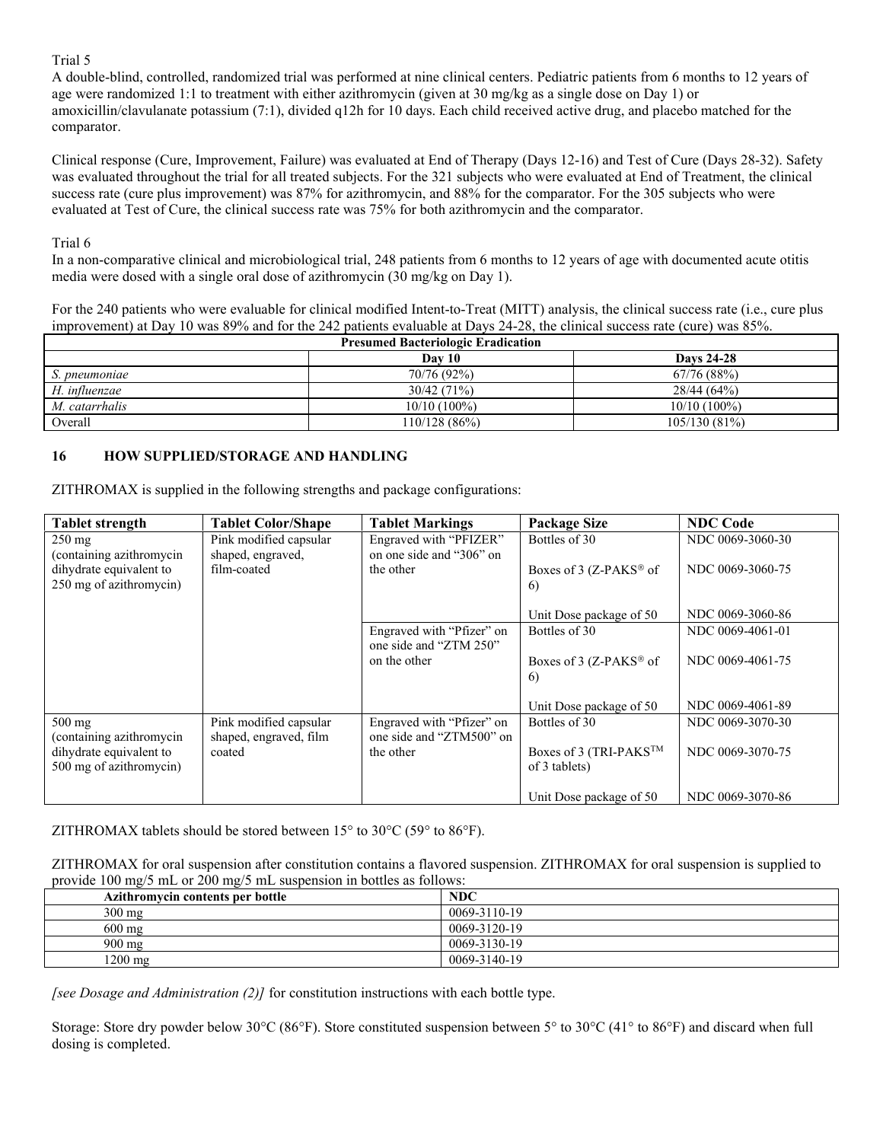### Trial 5

A double-blind, controlled, randomized trial was performed at nine clinical centers. Pediatric patients from 6 months to 12 years of age were randomized 1:1 to treatment with either azithromycin (given at 30 mg/kg as a single dose on Day 1) or amoxicillin/clavulanate potassium (7:1), divided q12h for 10 days. Each child received active drug, and placebo matched for the comparator.

Clinical response (Cure, Improvement, Failure) was evaluated at End of Therapy (Days 12-16) and Test of Cure (Days 28-32). Safety was evaluated throughout the trial for all treated subjects. For the 321 subjects who were evaluated at End of Treatment, the clinical success rate (cure plus improvement) was 87% for azithromycin, and 88% for the comparator. For the 305 subjects who were evaluated at Test of Cure, the clinical success rate was 75% for both azithromycin and the comparator.

# Trial 6

In a non-comparative clinical and microbiological trial, 248 patients from 6 months to 12 years of age with documented acute otitis media were dosed with a single oral dose of azithromycin (30 mg/kg on Day 1).

For the 240 patients who were evaluable for clinical modified Intent-to-Treat (MITT) analysis, the clinical success rate (i.e., cure plus improvement) at Day 10 was 89% and for the 242 patients evaluable at Days 24-28, the clinical success rate (cure) was 85%.

| <b>Presumed Bacteriologic Eradication</b> |                |                   |  |
|-------------------------------------------|----------------|-------------------|--|
|                                           | Dav 10         | <b>Davs 24-28</b> |  |
| S. pneumoniae                             | 70/76 (92%)    | 67/76 (88%)       |  |
| H. influenzae                             | 30/42(71%)     | 28/44(64%)        |  |
| M. catarrhalis                            | $10/10(100\%)$ | $10/10(100\%)$    |  |
| Overall                                   | 110/128(86%)   | 105/130(81%)      |  |

# **16 HOW SUPPLIED/STORAGE AND HANDLING**

ZITHROMAX is supplied in the following strengths and package configurations:

| <b>Tablet strength</b>   | <b>Tablet Color/Shape</b> | <b>Tablet Markings</b>                              | <b>Package Size</b>                | <b>NDC Code</b>  |
|--------------------------|---------------------------|-----------------------------------------------------|------------------------------------|------------------|
| $250 \text{ mg}$         | Pink modified capsular    | Engraved with "PFIZER"                              | Bottles of 30                      | NDC 0069-3060-30 |
| (containing azithromycin | shaped, engraved,         | on one side and "306" on                            |                                    |                  |
| dihydrate equivalent to  | film-coated               | the other                                           | Boxes of 3 (Z-PAKS® of             | NDC 0069-3060-75 |
| 250 mg of azithromycin)  |                           |                                                     | 6)                                 |                  |
|                          |                           |                                                     | Unit Dose package of 50            | NDC 0069-3060-86 |
|                          |                           | Engraved with "Pfizer" on<br>one side and "ZTM 250" | Bottles of 30                      | NDC 0069-4061-01 |
|                          |                           | on the other                                        | Boxes of 3 (Z-PAKS <sup>®</sup> of | NDC 0069-4061-75 |
|                          |                           |                                                     | 6)                                 |                  |
|                          |                           |                                                     | Unit Dose package of 50            | NDC 0069-4061-89 |
| $500 \text{ mg}$         | Pink modified capsular    | Engraved with "Pfizer" on                           | Bottles of 30                      | NDC 0069-3070-30 |
| (containing azithromycin | shaped, engraved, film    | one side and "ZTM500" on                            |                                    |                  |
| dihydrate equivalent to  | coated                    | the other                                           | Boxes of 3 (TRI-PAKS™              | NDC 0069-3070-75 |
| 500 mg of azithromycin)  |                           |                                                     | of 3 tablets)                      |                  |
|                          |                           |                                                     | Unit Dose package of 50            | NDC 0069-3070-86 |

ZITHROMAX tablets should be stored between  $15^{\circ}$  to  $30^{\circ}$ C (59° to  $86^{\circ}$ F).

ZITHROMAX for oral suspension after constitution contains a flavored suspension. ZITHROMAX for oral suspension is supplied to provide 100 mg/5 mL or 200 mg/5 mL suspension in bottles as follows:

| Azithromycin contents per bottle | <b>NDC</b>   |
|----------------------------------|--------------|
| $300 \text{ mg}$                 | 0069-3110-19 |
| $600 \text{ mg}$                 | 0069-3120-19 |
| $900 \text{ mg}$                 | 0069-3130-19 |
| 1200 mg                          | 0069-3140-19 |

*[see Dosage and Administration (2)]* for constitution instructions with each bottle type.

Storage: Store dry powder below 30°C (86°F). Store constituted suspension between 5° to 30°C (41° to 86°F) and discard when full dosing is completed.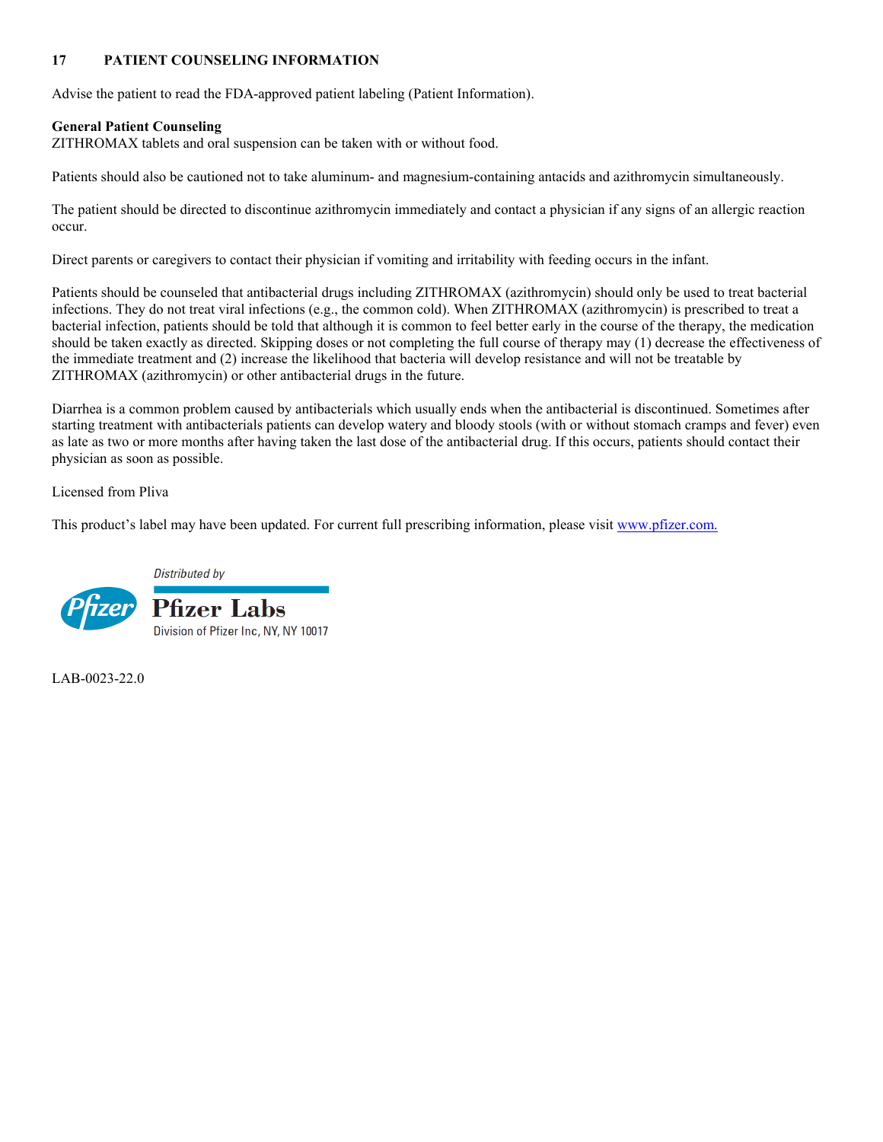# **17 PATIENT COUNSELING INFORMATION**

Advise the patient to read the FDA-approved patient labeling (Patient Information).

# **General Patient Counseling**

ZITHROMAX tablets and oral suspension can be taken with or without food.

Patients should also be cautioned not to take aluminum- and magnesium-containing antacids and azithromycin simultaneously.

The patient should be directed to discontinue azithromycin immediately and contact a physician if any signs of an allergic reaction occur.

Direct parents or caregivers to contact their physician if vomiting and irritability with feeding occurs in the infant.

Patients should be counseled that antibacterial drugs including ZITHROMAX (azithromycin) should only be used to treat bacterial infections. They do not treat viral infections (e.g., the common cold). When ZITHROMAX (azithromycin) is prescribed to treat a bacterial infection, patients should be told that although it is common to feel better early in the course of the therapy, the medication should be taken exactly as directed. Skipping doses or not completing the full course of therapy may (1) decrease the effectiveness of the immediate treatment and (2) increase the likelihood that bacteria will develop resistance and will not be treatable by ZITHROMAX (azithromycin) or other antibacterial drugs in the future.

Diarrhea is a common problem caused by antibacterials which usually ends when the antibacterial is discontinued. Sometimes after starting treatment with antibacterials patients can develop watery and bloody stools (with or without stomach cramps and fever) even as late as two or more months after having taken the last dose of the antibacterial drug. If this occurs, patients should contact their physician as soon as possible.

Licensed from Pliva

This product's label may have been updated. For current full prescribing information, please visit [www.pfizer.com](http://www.pfizer.com/).





LAB-0023-22.0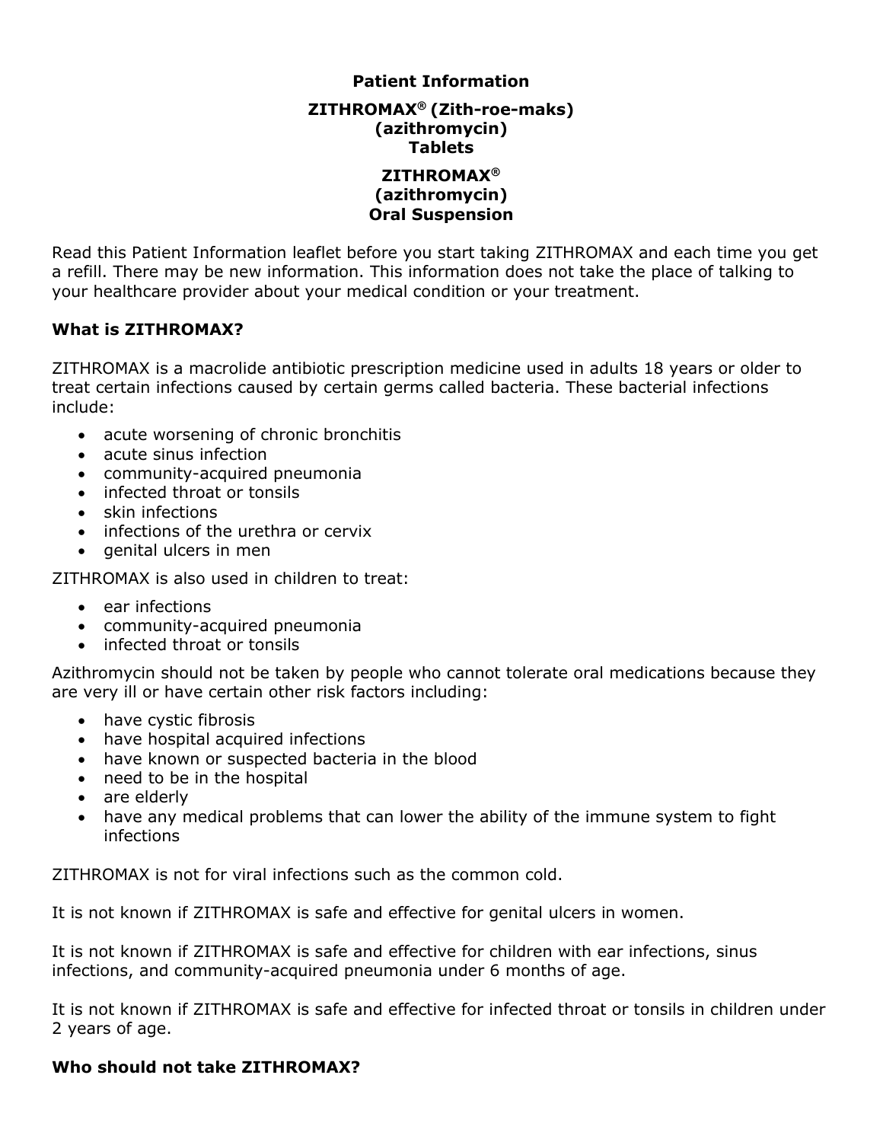# **Patient Information**

**ZITHROMAX® (Zith-roe-maks) (azithromycin) Tablets**

# **ZITHROMAX® (azithromycin) Oral Suspension**

Read this Patient Information leaflet before you start taking ZITHROMAX and each time you get a refill. There may be new information. This information does not take the place of talking to your healthcare provider about your medical condition or your treatment.

# **What is ZITHROMAX?**

ZITHROMAX is a macrolide antibiotic prescription medicine used in adults 18 years or older to treat certain infections caused by certain germs called bacteria. These bacterial infections include:

- acute worsening of chronic bronchitis
- acute sinus infection
- community-acquired pneumonia
- infected throat or tonsils
- skin infections
- infections of the urethra or cervix
- genital ulcers in men

ZITHROMAX is also used in children to treat:

- ear infections
- community-acquired pneumonia
- infected throat or tonsils

Azithromycin should not be taken by people who cannot tolerate oral medications because they are very ill or have certain other risk factors including:

- have cystic fibrosis
- have hospital acquired infections
- have known or suspected bacteria in the blood
- need to be in the hospital
- are elderly
- have any medical problems that can lower the ability of the immune system to fight infections

ZITHROMAX is not for viral infections such as the common cold.

It is not known if ZITHROMAX is safe and effective for genital ulcers in women.

It is not known if ZITHROMAX is safe and effective for children with ear infections, sinus infections, and community-acquired pneumonia under 6 months of age.

It is not known if ZITHROMAX is safe and effective for infected throat or tonsils in children under 2 years of age.

# **Who should not take ZITHROMAX?**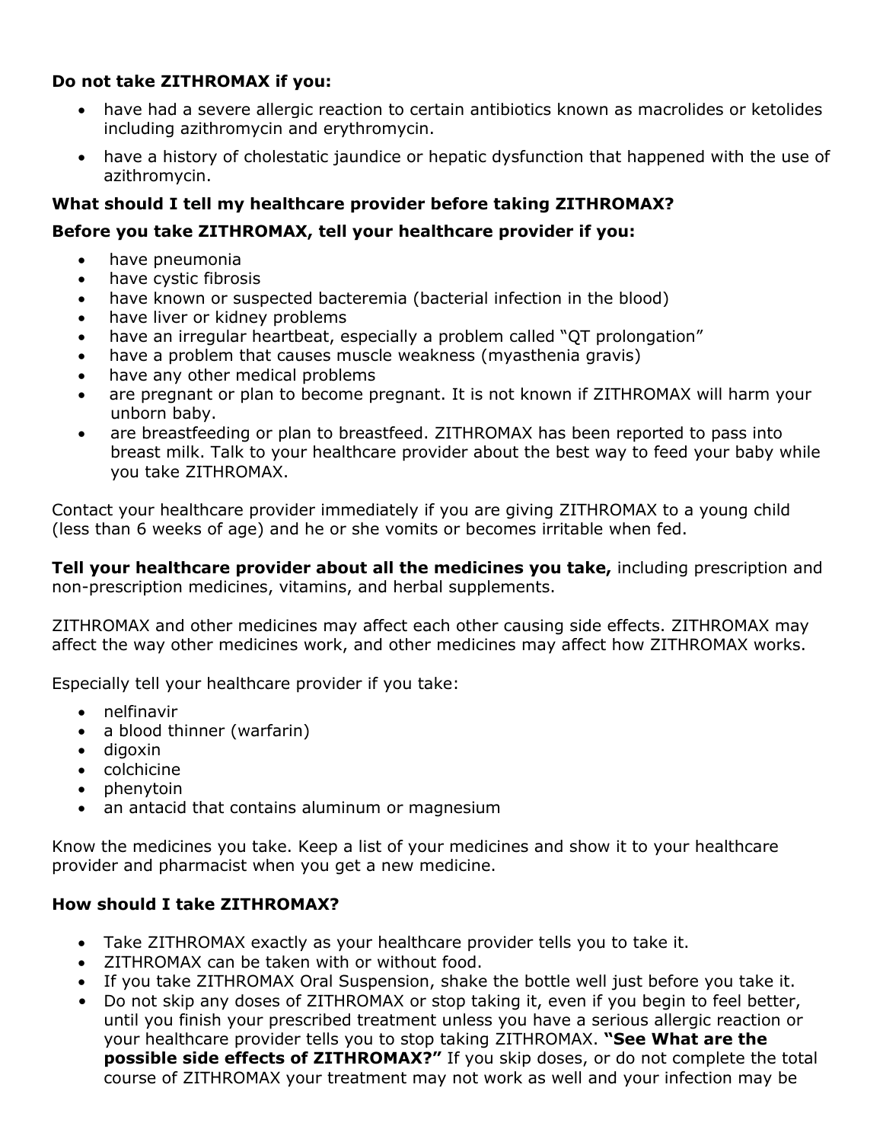# **Do not take ZITHROMAX if you:**

- have had a severe allergic reaction to certain antibiotics known as macrolides or ketolides including azithromycin and erythromycin.
- have a history of cholestatic jaundice or hepatic dysfunction that happened with the use of azithromycin.

# **What should I tell my healthcare provider before taking ZITHROMAX?**

# **Before you take ZITHROMAX, tell your healthcare provider if you:**

- have pneumonia
- have cystic fibrosis
- have known or suspected bacteremia (bacterial infection in the blood)
- have liver or kidney problems
- have an irregular heartbeat, especially a problem called "QT prolongation"
- have a problem that causes muscle weakness (myasthenia gravis)
- have any other medical problems
- are pregnant or plan to become pregnant. It is not known if ZITHROMAX will harm your unborn baby.
- are breastfeeding or plan to breastfeed. ZITHROMAX has been reported to pass into breast milk. Talk to your healthcare provider about the best way to feed your baby while you take ZITHROMAX.

Contact your healthcare provider immediately if you are giving ZITHROMAX to a young child (less than 6 weeks of age) and he or she vomits or becomes irritable when fed.

**Tell your healthcare provider about all the medicines you take,** including prescription and non-prescription medicines, vitamins, and herbal supplements.

ZITHROMAX and other medicines may affect each other causing side effects. ZITHROMAX may affect the way other medicines work, and other medicines may affect how ZITHROMAX works.

Especially tell your healthcare provider if you take:

- nelfinavir
- a blood thinner (warfarin)
- digoxin
- colchicine
- $\bullet$  phenytoin
- an antacid that contains aluminum or magnesium

Know the medicines you take. Keep a list of your medicines and show it to your healthcare provider and pharmacist when you get a new medicine.

# **How should I take ZITHROMAX?**

- Take ZITHROMAX exactly as your healthcare provider tells you to take it.
- ZITHROMAX can be taken with or without food.
- If you take ZITHROMAX Oral Suspension, shake the bottle well just before you take it.
- Do not skip any doses of ZITHROMAX or stop taking it, even if you begin to feel better, until you finish your prescribed treatment unless you have a serious allergic reaction or your healthcare provider tells you to stop taking ZITHROMAX. **"See What are the possible side effects of ZITHROMAX?"** If you skip doses, or do not complete the total course of ZITHROMAX your treatment may not work as well and your infection may be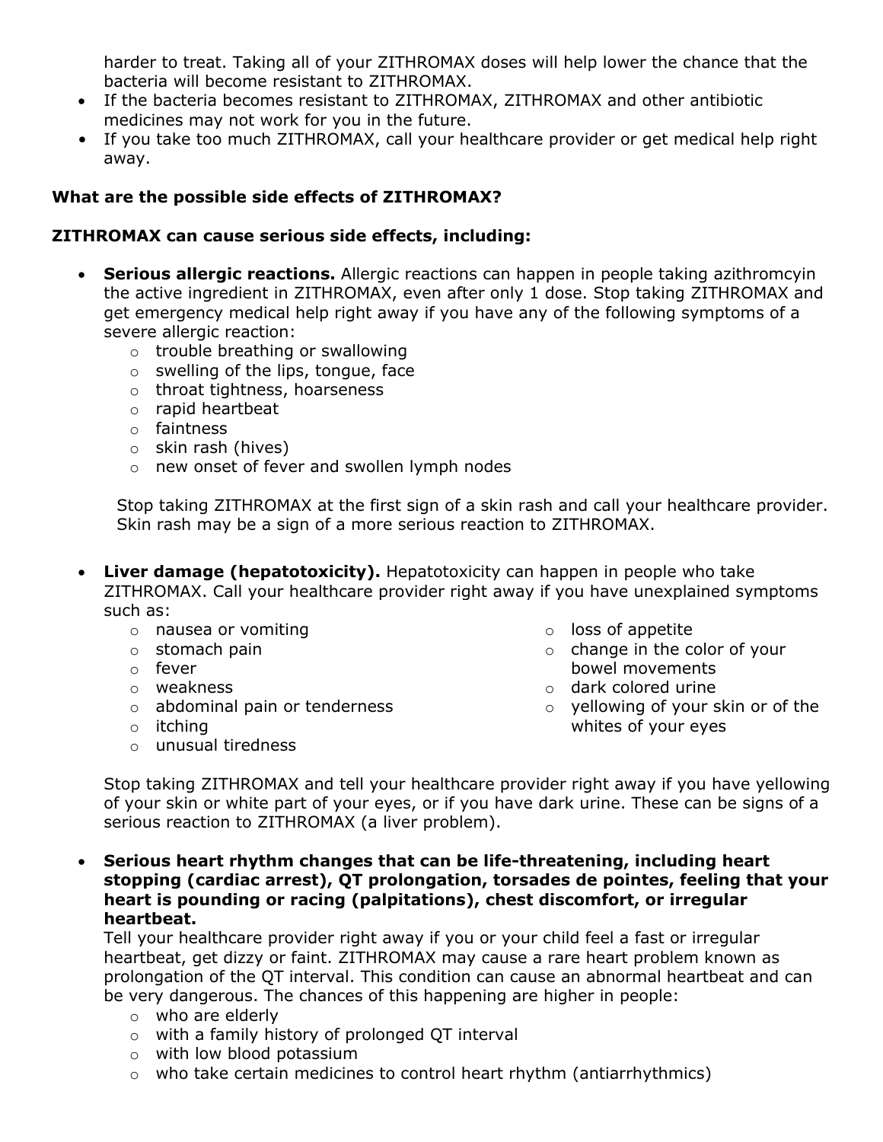harder to treat. Taking all of your ZITHROMAX doses will help lower the chance that the bacteria will become resistant to ZITHROMAX.

- If the bacteria becomes resistant to ZITHROMAX, ZITHROMAX and other antibiotic medicines may not work for you in the future.
- If you take too much ZITHROMAX, call your healthcare provider or get medical help right away.

# **What are the possible side effects of ZITHROMAX?**

# **ZITHROMAX can cause serious side effects, including:**

- **Serious allergic reactions.** Allergic reactions can happen in people taking azithromcyin the active ingredient in ZITHROMAX, even after only 1 dose. Stop taking ZITHROMAX and get emergency medical help right away if you have any of the following symptoms of a severe allergic reaction:
	- o trouble breathing or swallowing
	- o swelling of the lips, tongue, face
	- o throat tightness, hoarseness
	- o rapid heartbeat
	- o faintness
	- o skin rash (hives)
	- o new onset of fever and swollen lymph nodes

Stop taking ZITHROMAX at the first sign of a skin rash and call your healthcare provider. Skin rash may be a sign of a more serious reaction to ZITHROMAX.

- **Liver damage (hepatotoxicity).** Hepatotoxicity can happen in people who take ZITHROMAX. Call your healthcare provider right away if you have unexplained symptoms such as:
	- o nausea or vomiting
	- o stomach pain
	- o fever
	- o weakness
	- o abdominal pain or tenderness
	- o itching
	- o unusual tiredness
- o loss of appetite
- o change in the color of your bowel movements
- o dark colored urine
- o yellowing of your skin or of the whites of your eyes

Stop taking ZITHROMAX and tell your healthcare provider right away if you have yellowing of your skin or white part of your eyes, or if you have dark urine. These can be signs of a serious reaction to ZITHROMAX (a liver problem).

 **Serious heart rhythm changes that can be life-threatening, including heart stopping (cardiac arrest), QT prolongation, torsades de pointes, feeling that your heart is pounding or racing (palpitations), chest discomfort, or irregular heartbeat.**

Tell your healthcare provider right away if you or your child feel a fast or irregular heartbeat, get dizzy or faint. ZITHROMAX may cause a rare heart problem known as prolongation of the QT interval. This condition can cause an abnormal heartbeat and can be very dangerous. The chances of this happening are higher in people:

- o who are elderly
- o with a family history of prolonged QT interval
- o with low blood potassium
- o who take certain medicines to control heart rhythm (antiarrhythmics)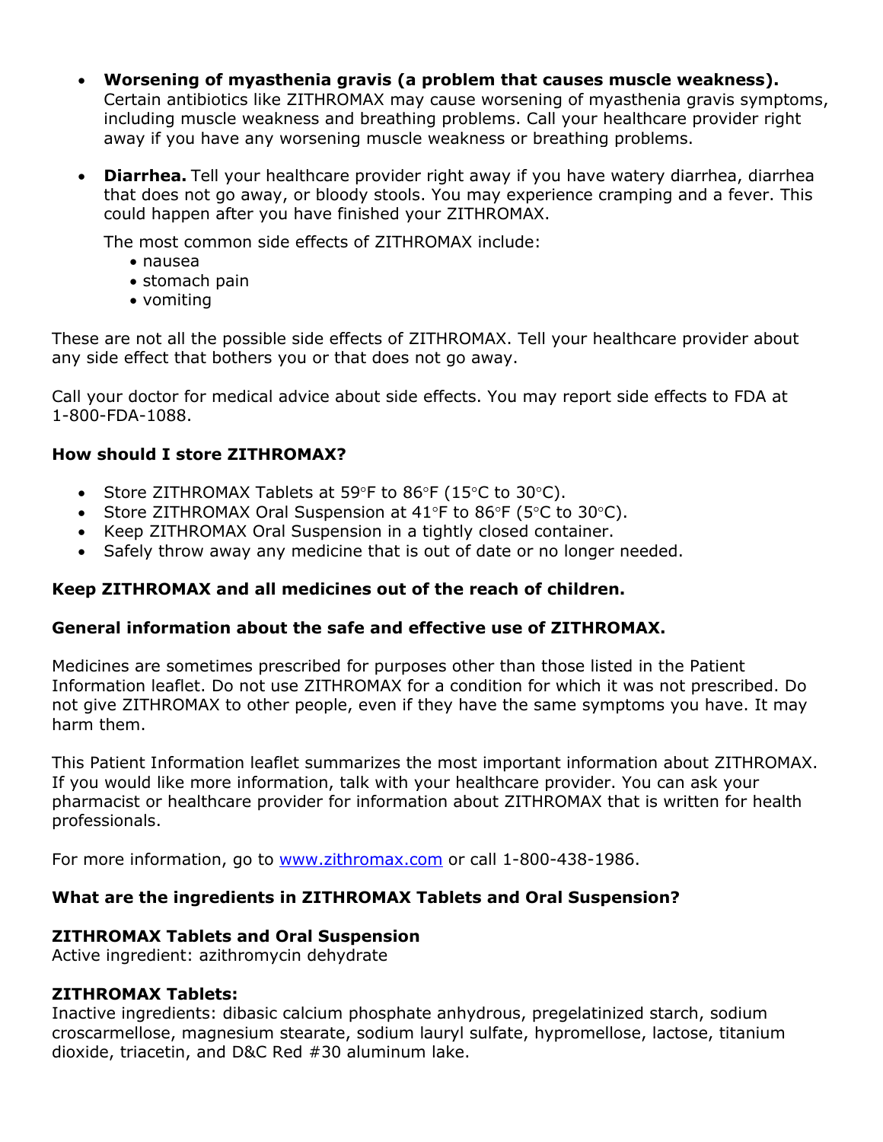- **Worsening of myasthenia gravis (a problem that causes muscle weakness).**  Certain antibiotics like ZITHROMAX may cause worsening of myasthenia gravis symptoms, including muscle weakness and breathing problems. Call your healthcare provider right away if you have any worsening muscle weakness or breathing problems.
- **Diarrhea.** Tell your healthcare provider right away if you have watery diarrhea, diarrhea that does not go away, or bloody stools. You may experience cramping and a fever. This could happen after you have finished your ZITHROMAX.

The most common side effects of ZITHROMAX include:

- nausea
- stomach pain
- vomiting

These are not all the possible side effects of ZITHROMAX. Tell your healthcare provider about any side effect that bothers you or that does not go away.

Call your doctor for medical advice about side effects. You may report side effects to FDA at 1-800-FDA-1088.

# **How should I store ZITHROMAX?**

- Store ZITHROMAX Tablets at 59°F to 86°F (15°C to 30°C).
- Store ZITHROMAX Oral Suspension at  $41^{\circ}F$  to  $86^{\circ}F$  (5 $^{\circ}C$  to  $30^{\circ}C$ ).
- Keep ZITHROMAX Oral Suspension in a tightly closed container.
- Safely throw away any medicine that is out of date or no longer needed.

# **Keep ZITHROMAX and all medicines out of the reach of children.**

# **General information about the safe and effective use of ZITHROMAX.**

Medicines are sometimes prescribed for purposes other than those listed in the Patient Information leaflet. Do not use ZITHROMAX for a condition for which it was not prescribed. Do not give ZITHROMAX to other people, even if they have the same symptoms you have. It may harm them.

This Patient Information leaflet summarizes the most important information about ZITHROMAX. If you would like more information, talk with your healthcare provider. You can ask your pharmacist or healthcare provider for information about ZITHROMAX that is written for health professionals.

For more information, go to [www.zithromax.com](http://www.zithromax.com/) or call 1-800-438-1986.

# **What are the ingredients in ZITHROMAX Tablets and Oral Suspension?**

# **ZITHROMAX Tablets and Oral Suspension**

Active ingredient: azithromycin dehydrate

# **ZITHROMAX Tablets:**

Inactive ingredients: dibasic calcium phosphate anhydrous, pregelatinized starch, sodium croscarmellose, magnesium stearate, sodium lauryl sulfate, hypromellose, lactose, titanium dioxide, triacetin, and D&C Red #30 aluminum lake.